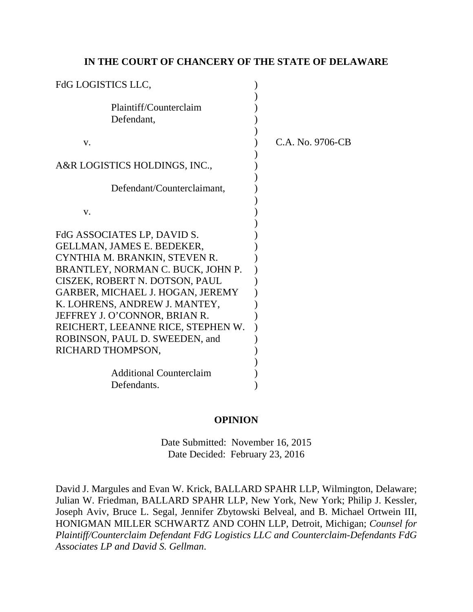# **IN THE COURT OF CHANCERY OF THE STATE OF DELAWARE**

| <b>FdG LOGISTICS LLC,</b>                                                                                                                                                                                                                                                                                                                                            |                  |
|----------------------------------------------------------------------------------------------------------------------------------------------------------------------------------------------------------------------------------------------------------------------------------------------------------------------------------------------------------------------|------------------|
| Plaintiff/Counterclaim<br>Defendant,                                                                                                                                                                                                                                                                                                                                 |                  |
| V.                                                                                                                                                                                                                                                                                                                                                                   | C.A. No. 9706-CB |
| A&R LOGISTICS HOLDINGS, INC.,                                                                                                                                                                                                                                                                                                                                        |                  |
| Defendant/Counterclaimant,                                                                                                                                                                                                                                                                                                                                           |                  |
| V.                                                                                                                                                                                                                                                                                                                                                                   |                  |
| FdG ASSOCIATES LP, DAVID S.<br>GELLMAN, JAMES E. BEDEKER,<br>CYNTHIA M. BRANKIN, STEVEN R.<br>BRANTLEY, NORMAN C. BUCK, JOHN P.<br>CISZEK, ROBERT N. DOTSON, PAUL<br>GARBER, MICHAEL J. HOGAN, JEREMY<br>K. LOHRENS, ANDREW J. MANTEY,<br>JEFFREY J. O'CONNOR, BRIAN R.<br>REICHERT, LEEANNE RICE, STEPHEN W.<br>ROBINSON, PAUL D. SWEEDEN, and<br>RICHARD THOMPSON, |                  |
| <b>Additional Counterclaim</b><br>Defendants.                                                                                                                                                                                                                                                                                                                        |                  |

# **OPINION**

Date Submitted: November 16, 2015 Date Decided: February 23, 2016

David J. Margules and Evan W. Krick, BALLARD SPAHR LLP, Wilmington, Delaware; Julian W. Friedman, BALLARD SPAHR LLP, New York, New York; Philip J. Kessler, Joseph Aviv, Bruce L. Segal, Jennifer Zbytowski Belveal, and B. Michael Ortwein III, HONIGMAN MILLER SCHWARTZ AND COHN LLP, Detroit, Michigan; *Counsel for Plaintiff/Counterclaim Defendant FdG Logistics LLC and Counterclaim-Defendants FdG Associates LP and David S. Gellman*.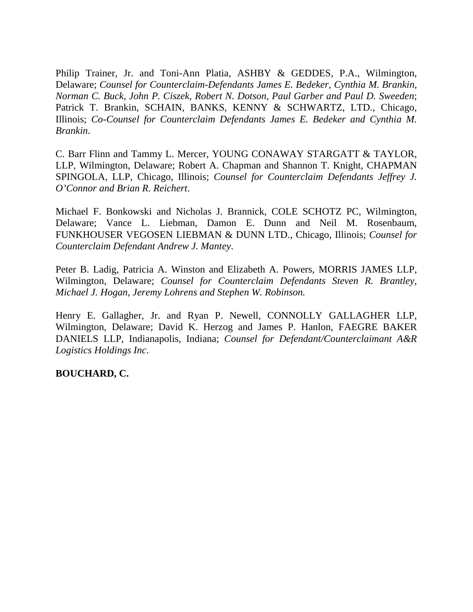Philip Trainer, Jr. and Toni-Ann Platia, ASHBY & GEDDES, P.A., Wilmington, Delaware; *Counsel for Counterclaim-Defendants James E. Bedeker, Cynthia M. Brankin, Norman C. Buck, John P. Ciszek, Robert N. Dotson, Paul Garber and Paul D. Sweeden*; Patrick T. Brankin, SCHAIN, BANKS, KENNY & SCHWARTZ, LTD., Chicago, Illinois; *Co-Counsel for Counterclaim Defendants James E. Bedeker and Cynthia M. Brankin*.

C. Barr Flinn and Tammy L. Mercer, YOUNG CONAWAY STARGATT & TAYLOR, LLP, Wilmington, Delaware; Robert A. Chapman and Shannon T. Knight, CHAPMAN SPINGOLA, LLP, Chicago, Illinois; *Counsel for Counterclaim Defendants Jeffrey J. O'Connor and Brian R. Reichert*.

Michael F. Bonkowski and Nicholas J. Brannick, COLE SCHOTZ PC, Wilmington, Delaware; Vance L. Liebman, Damon E. Dunn and Neil M. Rosenbaum, FUNKHOUSER VEGOSEN LIEBMAN & DUNN LTD., Chicago, Illinois; *Counsel for Counterclaim Defendant Andrew J. Mantey*.

Peter B. Ladig, Patricia A. Winston and Elizabeth A. Powers, MORRIS JAMES LLP, Wilmington, Delaware; *Counsel for Counterclaim Defendants Steven R. Brantley, Michael J. Hogan, Jeremy Lohrens and Stephen W. Robinson.*

Henry E. Gallagher, Jr. and Ryan P. Newell, CONNOLLY GALLAGHER LLP, Wilmington, Delaware; David K. Herzog and James P. Hanlon, FAEGRE BAKER DANIELS LLP, Indianapolis, Indiana; *Counsel for Defendant/Counterclaimant A&R Logistics Holdings Inc*.

**BOUCHARD, C.**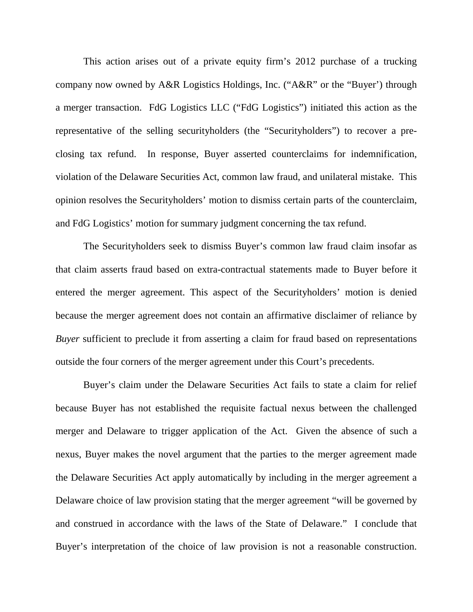This action arises out of a private equity firm's 2012 purchase of a trucking company now owned by A&R Logistics Holdings, Inc. ("A&R" or the "Buyer') through a merger transaction. FdG Logistics LLC ("FdG Logistics") initiated this action as the representative of the selling securityholders (the "Securityholders") to recover a preclosing tax refund. In response, Buyer asserted counterclaims for indemnification, violation of the Delaware Securities Act, common law fraud, and unilateral mistake. This opinion resolves the Securityholders' motion to dismiss certain parts of the counterclaim, and FdG Logistics' motion for summary judgment concerning the tax refund.

The Securityholders seek to dismiss Buyer's common law fraud claim insofar as that claim asserts fraud based on extra-contractual statements made to Buyer before it entered the merger agreement. This aspect of the Securityholders' motion is denied because the merger agreement does not contain an affirmative disclaimer of reliance by *Buyer* sufficient to preclude it from asserting a claim for fraud based on representations outside the four corners of the merger agreement under this Court's precedents.

Buyer's claim under the Delaware Securities Act fails to state a claim for relief because Buyer has not established the requisite factual nexus between the challenged merger and Delaware to trigger application of the Act. Given the absence of such a nexus, Buyer makes the novel argument that the parties to the merger agreement made the Delaware Securities Act apply automatically by including in the merger agreement a Delaware choice of law provision stating that the merger agreement "will be governed by and construed in accordance with the laws of the State of Delaware." I conclude that Buyer's interpretation of the choice of law provision is not a reasonable construction.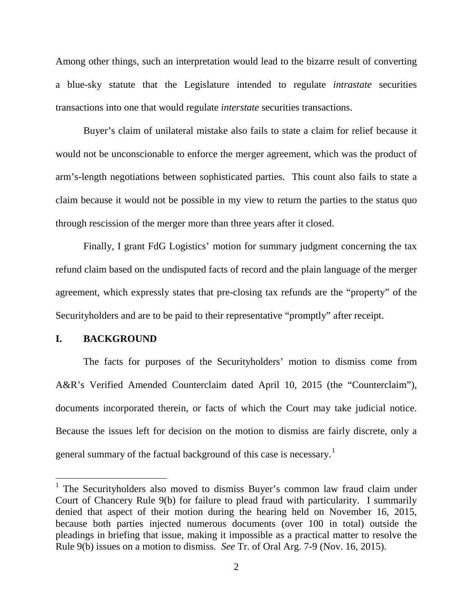Among other things, such an interpretation would lead to the bizarre result of converting a blue-sky statute that the Legislature intended to regulate *intrastate* securities transactions into one that would regulate *interstate* securities transactions.

Buyer's claim of unilateral mistake also fails to state a claim for relief because it would not be unconscionable to enforce the merger agreement, which was the product of arm's-length negotiations between sophisticated parties. This count also fails to state a claim because it would not be possible in my view to return the parties to the status quo through rescission of the merger more than three years after it closed.

Finally, I grant FdG Logistics' motion for summary judgment concerning the tax refund claim based on the undisputed facts of record and the plain language of the merger agreement, which expressly states that pre-closing tax refunds are the "property" of the Securityholders and are to be paid to their representative "promptly" after receipt.

#### **I. BACKGROUND**

 $\overline{a}$ 

The facts for purposes of the Securityholders' motion to dismiss come from A&R's Verified Amended Counterclaim dated April 10, 2015 (the "Counterclaim"), documents incorporated therein, or facts of which the Court may take judicial notice. Because the issues left for decision on the motion to dismiss are fairly discrete, only a general summary of the factual background of this case is necessary.<sup>[1](#page-3-0)</sup>

<span id="page-3-0"></span><sup>&</sup>lt;sup>1</sup> The Securityholders also moved to dismiss Buyer's common law fraud claim under Court of Chancery Rule 9(b) for failure to plead fraud with particularity. I summarily denied that aspect of their motion during the hearing held on November 16, 2015, because both parties injected numerous documents (over 100 in total) outside the pleadings in briefing that issue, making it impossible as a practical matter to resolve the Rule 9(b) issues on a motion to dismiss. *See* Tr. of Oral Arg. 7-9 (Nov. 16, 2015).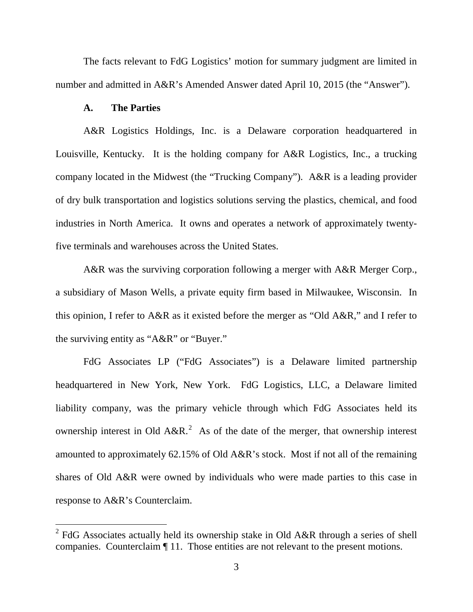The facts relevant to FdG Logistics' motion for summary judgment are limited in number and admitted in A&R's Amended Answer dated April 10, 2015 (the "Answer").

### **A. The Parties**

 $\overline{a}$ 

A&R Logistics Holdings, Inc. is a Delaware corporation headquartered in Louisville, Kentucky. It is the holding company for A&R Logistics, Inc., a trucking company located in the Midwest (the "Trucking Company"). A&R is a leading provider of dry bulk transportation and logistics solutions serving the plastics, chemical, and food industries in North America. It owns and operates a network of approximately twentyfive terminals and warehouses across the United States.

A&R was the surviving corporation following a merger with A&R Merger Corp., a subsidiary of Mason Wells, a private equity firm based in Milwaukee, Wisconsin. In this opinion, I refer to A&R as it existed before the merger as "Old A&R," and I refer to the surviving entity as "A&R" or "Buyer."

FdG Associates LP ("FdG Associates") is a Delaware limited partnership headquartered in New York, New York. FdG Logistics, LLC, a Delaware limited liability company, was the primary vehicle through which FdG Associates held its ownership interest in Old  $A\&R$ <sup>[2](#page-4-0)</sup>. As of the date of the merger, that ownership interest amounted to approximately 62.15% of Old A&R's stock. Most if not all of the remaining shares of Old A&R were owned by individuals who were made parties to this case in response to A&R's Counterclaim.

<span id="page-4-0"></span> $2$  FdG Associates actually held its ownership stake in Old A&R through a series of shell companies. Counterclaim ¶ 11. Those entities are not relevant to the present motions.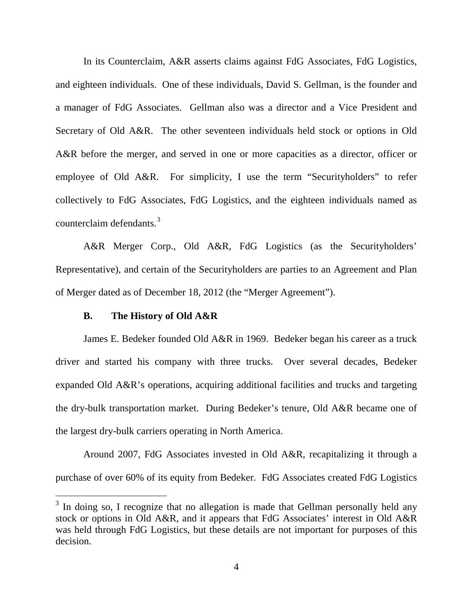In its Counterclaim, A&R asserts claims against FdG Associates, FdG Logistics, and eighteen individuals. One of these individuals, David S. Gellman, is the founder and a manager of FdG Associates. Gellman also was a director and a Vice President and Secretary of Old A&R. The other seventeen individuals held stock or options in Old A&R before the merger, and served in one or more capacities as a director, officer or employee of Old A&R. For simplicity, I use the term "Securityholders" to refer collectively to FdG Associates, FdG Logistics, and the eighteen individuals named as counterclaim defendants.<sup>[3](#page-5-0)</sup>

A&R Merger Corp., Old A&R, FdG Logistics (as the Securityholders' Representative), and certain of the Securityholders are parties to an Agreement and Plan of Merger dated as of December 18, 2012 (the "Merger Agreement").

### **B. The History of Old A&R**

 $\overline{a}$ 

James E. Bedeker founded Old A&R in 1969. Bedeker began his career as a truck driver and started his company with three trucks. Over several decades, Bedeker expanded Old A&R's operations, acquiring additional facilities and trucks and targeting the dry-bulk transportation market. During Bedeker's tenure, Old A&R became one of the largest dry-bulk carriers operating in North America.

Around 2007, FdG Associates invested in Old A&R, recapitalizing it through a purchase of over 60% of its equity from Bedeker. FdG Associates created FdG Logistics

<span id="page-5-0"></span> $3$  In doing so, I recognize that no allegation is made that Gellman personally held any stock or options in Old A&R, and it appears that FdG Associates' interest in Old A&R was held through FdG Logistics, but these details are not important for purposes of this decision.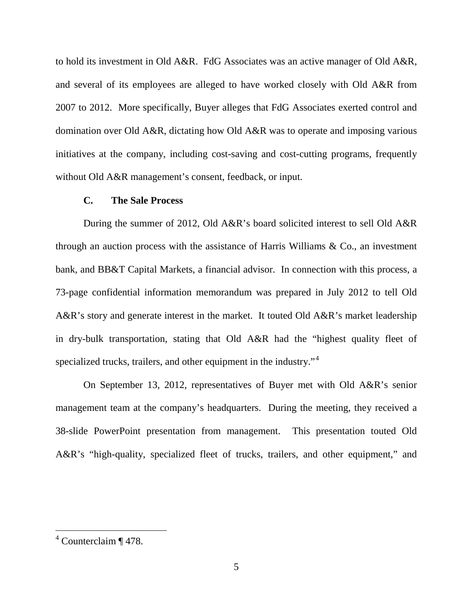to hold its investment in Old A&R. FdG Associates was an active manager of Old A&R, and several of its employees are alleged to have worked closely with Old A&R from 2007 to 2012. More specifically, Buyer alleges that FdG Associates exerted control and domination over Old A&R, dictating how Old A&R was to operate and imposing various initiatives at the company, including cost-saving and cost-cutting programs, frequently without Old A&R management's consent, feedback, or input.

## **C. The Sale Process**

During the summer of 2012, Old A&R's board solicited interest to sell Old A&R through an auction process with the assistance of Harris Williams & Co., an investment bank, and BB&T Capital Markets, a financial advisor. In connection with this process, a 73-page confidential information memorandum was prepared in July 2012 to tell Old A&R's story and generate interest in the market. It touted Old A&R's market leadership in dry-bulk transportation, stating that Old A&R had the "highest quality fleet of specialized trucks, trailers, and other equipment in the industry."<sup>[4](#page-6-0)</sup>

On September 13, 2012, representatives of Buyer met with Old A&R's senior management team at the company's headquarters. During the meeting, they received a 38-slide PowerPoint presentation from management. This presentation touted Old A&R's "high-quality, specialized fleet of trucks, trailers, and other equipment," and

<span id="page-6-0"></span> $4$  Counterclaim ¶ 478.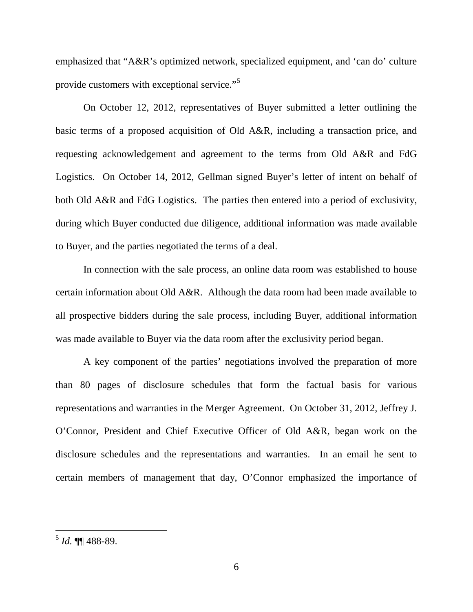emphasized that "A&R's optimized network, specialized equipment, and 'can do' culture provide customers with exceptional service."<sup>[5](#page-7-0)</sup>

On October 12, 2012, representatives of Buyer submitted a letter outlining the basic terms of a proposed acquisition of Old A&R, including a transaction price, and requesting acknowledgement and agreement to the terms from Old A&R and FdG Logistics. On October 14, 2012, Gellman signed Buyer's letter of intent on behalf of both Old A&R and FdG Logistics. The parties then entered into a period of exclusivity, during which Buyer conducted due diligence, additional information was made available to Buyer, and the parties negotiated the terms of a deal.

In connection with the sale process, an online data room was established to house certain information about Old A&R. Although the data room had been made available to all prospective bidders during the sale process, including Buyer, additional information was made available to Buyer via the data room after the exclusivity period began.

A key component of the parties' negotiations involved the preparation of more than 80 pages of disclosure schedules that form the factual basis for various representations and warranties in the Merger Agreement. On October 31, 2012, Jeffrey J. O'Connor, President and Chief Executive Officer of Old A&R, began work on the disclosure schedules and the representations and warranties. In an email he sent to certain members of management that day, O'Connor emphasized the importance of

<span id="page-7-0"></span><sup>5</sup> *Id.* ¶¶ 488-89.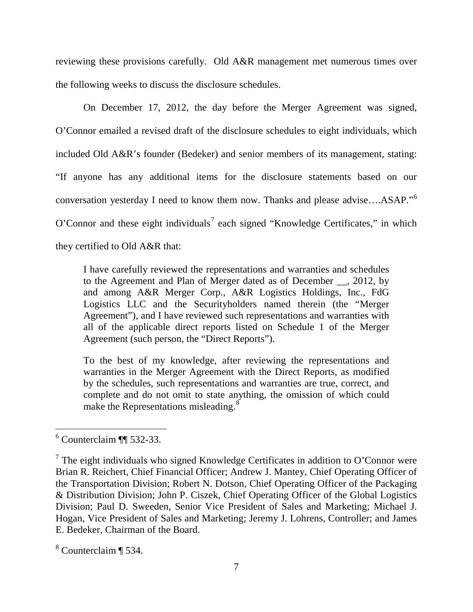reviewing these provisions carefully. Old A&R management met numerous times over the following weeks to discuss the disclosure schedules.

On December 17, 2012, the day before the Merger Agreement was signed, O'Connor emailed a revised draft of the disclosure schedules to eight individuals, which included Old A&R's founder (Bedeker) and senior members of its management, stating: "If anyone has any additional items for the disclosure statements based on our conversation yesterday I need to know them now. Thanks and please advise....ASAP."<sup>[6](#page-8-0)</sup> O'Connor and these eight individuals<sup>[7](#page-8-1)</sup> each signed "Knowledge Certificates," in which they certified to Old A&R that:

I have carefully reviewed the representations and warranties and schedules to the Agreement and Plan of Merger dated as of December , 2012, by and among A&R Merger Corp., A&R Logistics Holdings, Inc., FdG Logistics LLC and the Securityholders named therein (the "Merger Agreement"), and I have reviewed such representations and warranties with all of the applicable direct reports listed on Schedule 1 of the Merger Agreement (such person, the "Direct Reports").

To the best of my knowledge, after reviewing the representations and warranties in the Merger Agreement with the Direct Reports, as modified by the schedules, such representations and warranties are true, correct, and complete and do not omit to state anything, the omission of which could make the Representations misleading.<sup>[8](#page-8-2)</sup>

<span id="page-8-0"></span> $6$  Counterclaim ¶ 532-33.  $\overline{a}$ 

<span id="page-8-1"></span> $<sup>7</sup>$  The eight individuals who signed Knowledge Certificates in addition to O'Connor were</sup> Brian R. Reichert, Chief Financial Officer; Andrew J. Mantey, Chief Operating Officer of the Transportation Division; Robert N. Dotson, Chief Operating Officer of the Packaging & Distribution Division; John P. Ciszek, Chief Operating Officer of the Global Logistics Division; Paul D. Sweeden, Senior Vice President of Sales and Marketing; Michael J. Hogan, Vice President of Sales and Marketing; Jeremy J. Lohrens, Controller; and James E. Bedeker, Chairman of the Board.

<span id="page-8-2"></span><sup>8</sup> Counterclaim ¶ 534.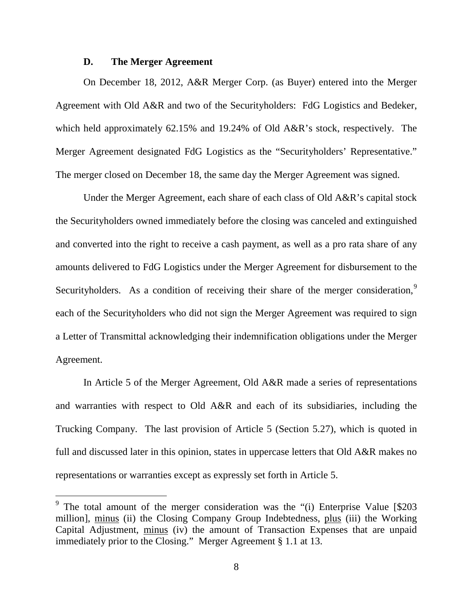#### **D. The Merger Agreement**

 $\overline{a}$ 

On December 18, 2012, A&R Merger Corp. (as Buyer) entered into the Merger Agreement with Old A&R and two of the Securityholders: FdG Logistics and Bedeker, which held approximately 62.15% and 19.24% of Old A&R's stock, respectively. The Merger Agreement designated FdG Logistics as the "Securityholders' Representative." The merger closed on December 18, the same day the Merger Agreement was signed.

Under the Merger Agreement, each share of each class of Old A&R's capital stock the Securityholders owned immediately before the closing was canceled and extinguished and converted into the right to receive a cash payment, as well as a pro rata share of any amounts delivered to FdG Logistics under the Merger Agreement for disbursement to the Securityholders. As a condition of receiving their share of the merger consideration,<sup>[9](#page-9-0)</sup> each of the Securityholders who did not sign the Merger Agreement was required to sign a Letter of Transmittal acknowledging their indemnification obligations under the Merger Agreement.

In Article 5 of the Merger Agreement, Old A&R made a series of representations and warranties with respect to Old A&R and each of its subsidiaries, including the Trucking Company. The last provision of Article 5 (Section 5.27), which is quoted in full and discussed later in this opinion, states in uppercase letters that Old A&R makes no representations or warranties except as expressly set forth in Article 5.

<span id="page-9-0"></span><sup>&</sup>lt;sup>9</sup> The total amount of the merger consideration was the " $(i)$  Enterprise Value [\$203] million], minus (ii) the Closing Company Group Indebtedness, plus (iii) the Working Capital Adjustment, minus (iv) the amount of Transaction Expenses that are unpaid immediately prior to the Closing." Merger Agreement § 1.1 at 13.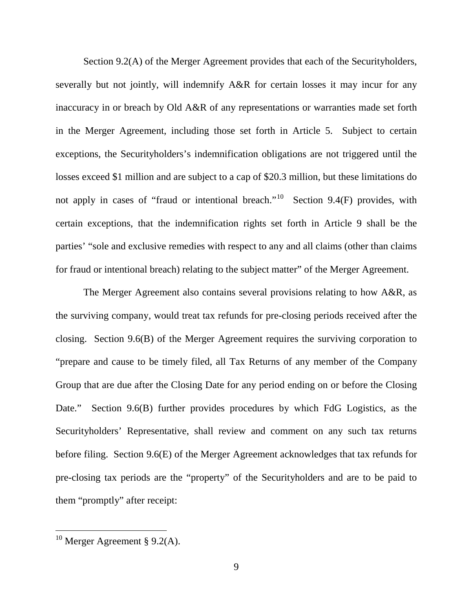Section 9.2(A) of the Merger Agreement provides that each of the Securityholders, severally but not jointly, will indemnify A&R for certain losses it may incur for any inaccuracy in or breach by Old A&R of any representations or warranties made set forth in the Merger Agreement, including those set forth in Article 5. Subject to certain exceptions, the Securityholders's indemnification obligations are not triggered until the losses exceed \$1 million and are subject to a cap of \$20.3 million, but these limitations do not apply in cases of "fraud or intentional breach."<sup>[10](#page-10-0)</sup> Section 9.4(F) provides, with certain exceptions, that the indemnification rights set forth in Article 9 shall be the parties' "sole and exclusive remedies with respect to any and all claims (other than claims for fraud or intentional breach) relating to the subject matter" of the Merger Agreement.

The Merger Agreement also contains several provisions relating to how A&R, as the surviving company, would treat tax refunds for pre-closing periods received after the closing. Section 9.6(B) of the Merger Agreement requires the surviving corporation to "prepare and cause to be timely filed, all Tax Returns of any member of the Company Group that are due after the Closing Date for any period ending on or before the Closing Date." Section 9.6(B) further provides procedures by which FdG Logistics, as the Securityholders' Representative, shall review and comment on any such tax returns before filing. Section 9.6(E) of the Merger Agreement acknowledges that tax refunds for pre-closing tax periods are the "property" of the Securityholders and are to be paid to them "promptly" after receipt:

<span id="page-10-0"></span> $10$  Merger Agreement § 9.2(A).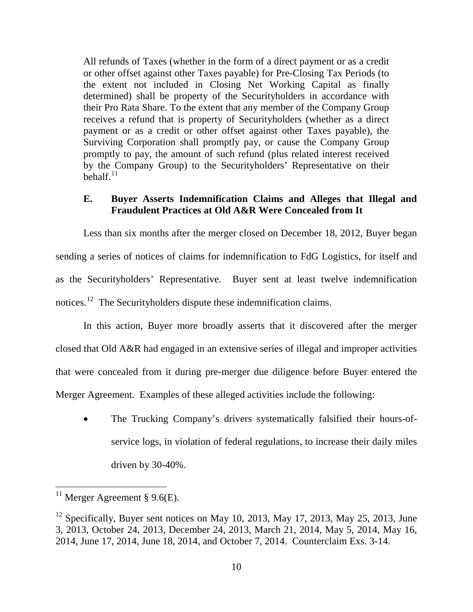All refunds of Taxes (whether in the form of a direct payment or as a credit or other offset against other Taxes payable) for Pre-Closing Tax Periods (to the extent not included in Closing Net Working Capital as finally determined) shall be property of the Securityholders in accordance with their Pro Rata Share. To the extent that any member of the Company Group receives a refund that is property of Securityholders (whether as a direct payment or as a credit or other offset against other Taxes payable), the Surviving Corporation shall promptly pay, or cause the Company Group promptly to pay, the amount of such refund (plus related interest received by the Company Group) to the Securityholders' Representative on their behalf. $^{11}$  $^{11}$  $^{11}$ 

# **E. Buyer Asserts Indemnification Claims and Alleges that Illegal and Fraudulent Practices at Old A&R Were Concealed from It**

Less than six months after the merger closed on December 18, 2012, Buyer began sending a series of notices of claims for indemnification to FdG Logistics, for itself and as the Securityholders' Representative. Buyer sent at least twelve indemnification notices.<sup>[12](#page-11-1)</sup> The Securityholders dispute these indemnification claims.

In this action, Buyer more broadly asserts that it discovered after the merger closed that Old A&R had engaged in an extensive series of illegal and improper activities that were concealed from it during pre-merger due diligence before Buyer entered the Merger Agreement. Examples of these alleged activities include the following:

• The Trucking Company's drivers systematically falsified their hours-ofservice logs, in violation of federal regulations, to increase their daily miles driven by 30-40%.

<span id="page-11-0"></span> $11$  Merger Agreement § 9.6(E).

<span id="page-11-1"></span> $12$  Specifically, Buyer sent notices on May 10, 2013, May 17, 2013, May 25, 2013, June 3, 2013, October 24, 2013, December 24, 2013, March 21, 2014, May 5, 2014, May 16, 2014, June 17, 2014, June 18, 2014, and October 7, 2014. Counterclaim Exs. 3-14.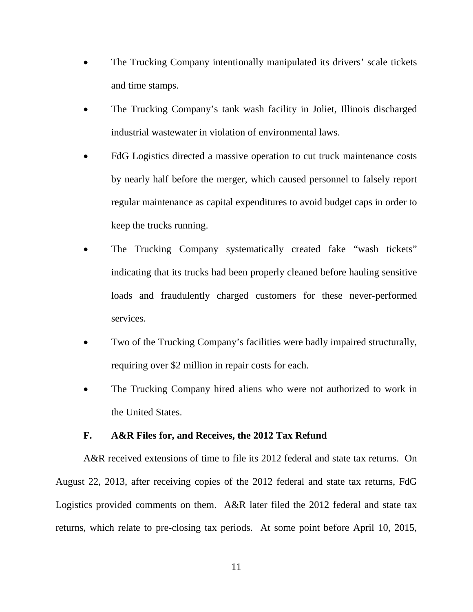- The Trucking Company intentionally manipulated its drivers' scale tickets and time stamps.
- The Trucking Company's tank wash facility in Joliet, Illinois discharged industrial wastewater in violation of environmental laws.
- FdG Logistics directed a massive operation to cut truck maintenance costs by nearly half before the merger, which caused personnel to falsely report regular maintenance as capital expenditures to avoid budget caps in order to keep the trucks running.
- The Trucking Company systematically created fake "wash tickets" indicating that its trucks had been properly cleaned before hauling sensitive loads and fraudulently charged customers for these never-performed services.
- Two of the Trucking Company's facilities were badly impaired structurally, requiring over \$2 million in repair costs for each.
- The Trucking Company hired aliens who were not authorized to work in the United States.

### **F. A&R Files for, and Receives, the 2012 Tax Refund**

A&R received extensions of time to file its 2012 federal and state tax returns. On August 22, 2013, after receiving copies of the 2012 federal and state tax returns, FdG Logistics provided comments on them. A&R later filed the 2012 federal and state tax returns, which relate to pre-closing tax periods. At some point before April 10, 2015,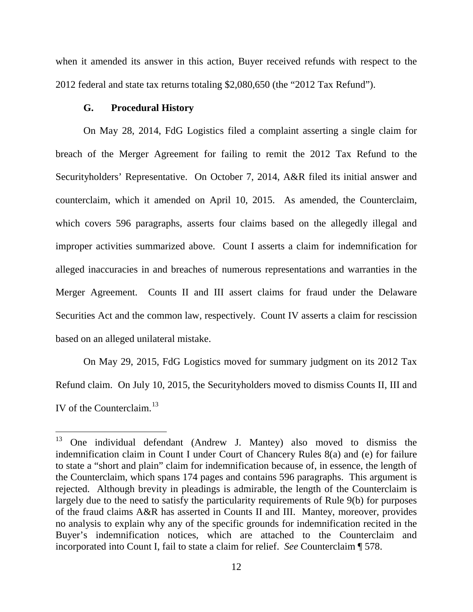when it amended its answer in this action, Buyer received refunds with respect to the 2012 federal and state tax returns totaling \$2,080,650 (the "2012 Tax Refund").

## **G. Procedural History**

On May 28, 2014, FdG Logistics filed a complaint asserting a single claim for breach of the Merger Agreement for failing to remit the 2012 Tax Refund to the Securityholders' Representative. On October 7, 2014, A&R filed its initial answer and counterclaim, which it amended on April 10, 2015. As amended, the Counterclaim, which covers 596 paragraphs, asserts four claims based on the allegedly illegal and improper activities summarized above. Count I asserts a claim for indemnification for alleged inaccuracies in and breaches of numerous representations and warranties in the Merger Agreement. Counts II and III assert claims for fraud under the Delaware Securities Act and the common law, respectively. Count IV asserts a claim for rescission based on an alleged unilateral mistake.

On May 29, 2015, FdG Logistics moved for summary judgment on its 2012 Tax Refund claim. On July 10, 2015, the Securityholders moved to dismiss Counts II, III and IV of the Counterclaim. [13](#page-13-0)

<span id="page-13-0"></span><sup>13</sup> One individual defendant (Andrew J. Mantey) also moved to dismiss the indemnification claim in Count I under Court of Chancery Rules 8(a) and (e) for failure to state a "short and plain" claim for indemnification because of, in essence, the length of the Counterclaim, which spans 174 pages and contains 596 paragraphs. This argument is rejected. Although brevity in pleadings is admirable, the length of the Counterclaim is largely due to the need to satisfy the particularity requirements of Rule 9(b) for purposes of the fraud claims A&R has asserted in Counts II and III. Mantey, moreover, provides no analysis to explain why any of the specific grounds for indemnification recited in the Buyer's indemnification notices, which are attached to the Counterclaim and incorporated into Count I, fail to state a claim for relief. *See* Counterclaim ¶ 578. 13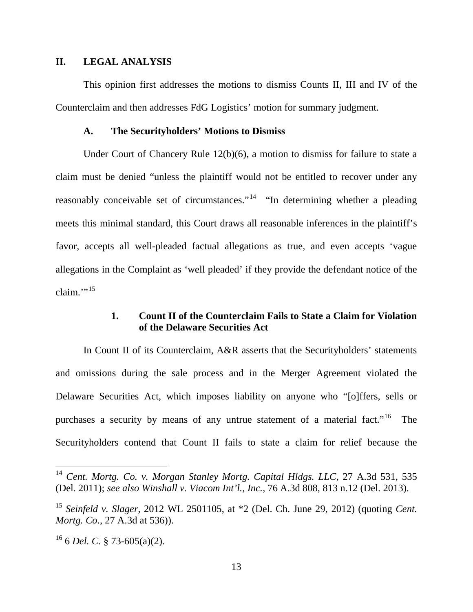### **II. LEGAL ANALYSIS**

This opinion first addresses the motions to dismiss Counts II, III and IV of the Counterclaim and then addresses FdG Logistics' motion for summary judgment.

### **A. The Securityholders' Motions to Dismiss**

Under Court of Chancery Rule 12(b)(6), a motion to dismiss for failure to state a claim must be denied "unless the plaintiff would not be entitled to recover under any reasonably conceivable set of circumstances."<sup>14</sup> "In determining whether a pleading meets this minimal standard, this Court draws all reasonable inferences in the plaintiff's favor, accepts all well-pleaded factual allegations as true, and even accepts 'vague allegations in the Complaint as 'well pleaded' if they provide the defendant notice of the claim $\cdot$ <sup>[15](#page-14-1)</sup>

# **1. Count II of the Counterclaim Fails to State a Claim for Violation of the Delaware Securities Act**

In Count II of its Counterclaim, A&R asserts that the Securityholders' statements and omissions during the sale process and in the Merger Agreement violated the Delaware Securities Act, which imposes liability on anyone who "[o]ffers, sells or purchases a security by means of any untrue statement of a material fact."<sup>[16](#page-14-2)</sup> The Securityholders contend that Count II fails to state a claim for relief because the

<span id="page-14-0"></span><sup>14</sup> *Cent. Mortg. Co. v. Morgan Stanley Mortg. Capital Hldgs. LLC*, 27 A.3d 531, 535 (Del. 2011); *see also Winshall v. Viacom Int'l., Inc.*, 76 A.3d 808, 813 n.12 (Del. 2013).

<span id="page-14-1"></span><sup>15</sup> *Seinfeld v. Slager*, 2012 WL 2501105, at \*2 (Del. Ch. June 29, 2012) (quoting *Cent. Mortg. Co.*, 27 A.3d at 536)).

<span id="page-14-2"></span><sup>16</sup> 6 *Del. C.* § 73-605(a)(2).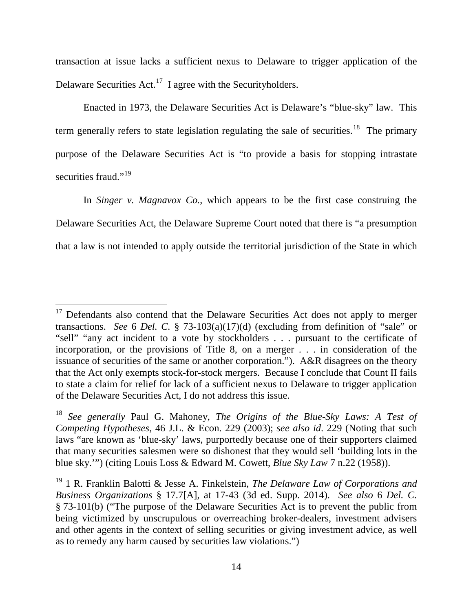transaction at issue lacks a sufficient nexus to Delaware to trigger application of the Delaware Securities Act.<sup>[17](#page-15-0)</sup> I agree with the Securityholders.

Enacted in 1973, the Delaware Securities Act is Delaware's "blue-sky" law. This term generally refers to state legislation regulating the sale of securities.<sup>18</sup> The primary purpose of the Delaware Securities Act is "to provide a basis for stopping intrastate securities fraud."<sup>19</sup>

In *Singer v. Magnavox Co.*, which appears to be the first case construing the Delaware Securities Act, the Delaware Supreme Court noted that there is "a presumption that a law is not intended to apply outside the territorial jurisdiction of the State in which

<span id="page-15-0"></span> $17$  Defendants also contend that the Delaware Securities Act does not apply to merger transactions. *See* 6 *Del. C.* § 73-103(a)(17)(d) (excluding from definition of "sale" or "sell" "any act incident to a vote by stockholders . . . pursuant to the certificate of incorporation, or the provisions of Title 8, on a merger . . . in consideration of the issuance of securities of the same or another corporation."). A&R disagrees on the theory that the Act only exempts stock-for-stock mergers. Because I conclude that Count II fails to state a claim for relief for lack of a sufficient nexus to Delaware to trigger application of the Delaware Securities Act, I do not address this issue.

<span id="page-15-1"></span><sup>18</sup> *See generally* Paul G. Mahoney, *The Origins of the Blue-Sky Laws: A Test of Competing Hypotheses*, 46 J.L. & Econ. 229 (2003); *see also id*. 229 (Noting that such laws "are known as 'blue-sky' laws, purportedly because one of their supporters claimed that many securities salesmen were so dishonest that they would sell 'building lots in the blue sky.'") (citing Louis Loss & Edward M. Cowett, *Blue Sky Law* 7 n.22 (1958)).

<span id="page-15-2"></span><sup>19</sup> 1 R. Franklin Balotti & Jesse A. Finkelstein, *The Delaware Law of Corporations and Business Organizations* § 17.7[A], at 17-43 (3d ed. Supp. 2014). *See also* 6 *Del. C.* § 73-101(b) ("The purpose of the Delaware Securities Act is to prevent the public from being victimized by unscrupulous or overreaching broker-dealers, investment advisers and other agents in the context of selling securities or giving investment advice, as well as to remedy any harm caused by securities law violations.")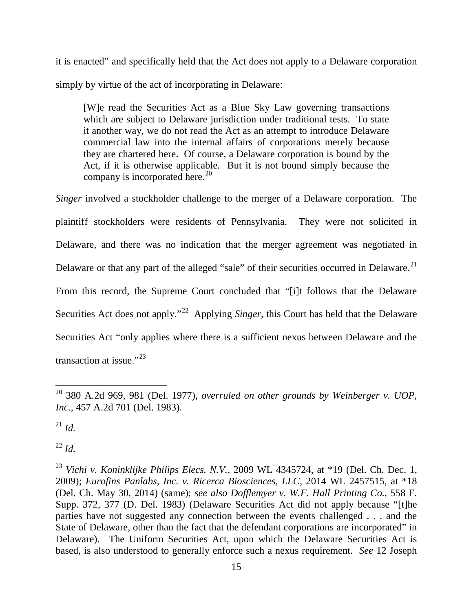it is enacted" and specifically held that the Act does not apply to a Delaware corporation simply by virtue of the act of incorporating in Delaware:

[W]e read the Securities Act as a Blue Sky Law governing transactions which are subject to Delaware jurisdiction under traditional tests. To state it another way, we do not read the Act as an attempt to introduce Delaware commercial law into the internal affairs of corporations merely because they are chartered here. Of course, a Delaware corporation is bound by the Act, if it is otherwise applicable. But it is not bound simply because the company is incorporated here.<sup>[20](#page-16-0)</sup>

*Singer* involved a stockholder challenge to the merger of a Delaware corporation. The plaintiff stockholders were residents of Pennsylvania. They were not solicited in Delaware, and there was no indication that the merger agreement was negotiated in Delaware or that any part of the alleged "sale" of their securities occurred in Delaware.<sup>[21](#page-16-1)</sup> From this record, the Supreme Court concluded that "[i]t follows that the Delaware Securities Act does not apply."<sup>[22](#page-16-2)</sup> Applying *Singer*, this Court has held that the Delaware Securities Act "only applies where there is a sufficient nexus between Delaware and the transaction at issue."<sup>[23](#page-16-3)</sup>

<span id="page-16-1"></span><sup>21</sup> *Id.*

<span id="page-16-2"></span><sup>22</sup> *Id.*

<span id="page-16-0"></span><sup>20</sup> 380 A.2d 969, 981 (Del. 1977), *overruled on other grounds by Weinberger v. UOP, Inc.*, 457 A.2d 701 (Del. 1983).  $\overline{a}$ 

<span id="page-16-3"></span><sup>23</sup> *Vichi v. Koninklijke Philips Elecs. N.V.*, 2009 WL 4345724, at \*19 (Del. Ch. Dec. 1, 2009); *Eurofins Panlabs, Inc. v. Ricerca Biosciences*, *LLC,* 2014 WL 2457515, at \*18 (Del. Ch. May 30, 2014) (same); *see also Dofflemyer v. W.F. Hall Printing Co.*, 558 F. Supp. 372, 377 (D. Del. 1983) (Delaware Securities Act did not apply because "[t]he parties have not suggested any connection between the events challenged . . . and the State of Delaware, other than the fact that the defendant corporations are incorporated" in Delaware). The Uniform Securities Act, upon which the Delaware Securities Act is based, is also understood to generally enforce such a nexus requirement. *See* 12 Joseph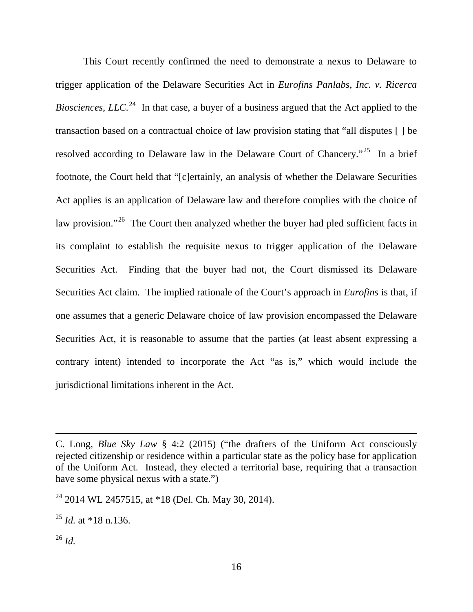This Court recently confirmed the need to demonstrate a nexus to Delaware to trigger application of the Delaware Securities Act in *Eurofins Panlabs, Inc. v. Ricerca Biosciences, LLC.*<sup>[24](#page-17-0)</sup> In that case, a buyer of a business argued that the Act applied to the transaction based on a contractual choice of law provision stating that "all disputes [ ] be resolved according to Delaware law in the Delaware Court of Chancery."<sup>[25](#page-17-1)</sup> In a brief footnote, the Court held that "[c]ertainly, an analysis of whether the Delaware Securities Act applies is an application of Delaware law and therefore complies with the choice of law provision."<sup>26</sup> The Court then analyzed whether the buyer had pled sufficient facts in its complaint to establish the requisite nexus to trigger application of the Delaware Securities Act. Finding that the buyer had not, the Court dismissed its Delaware Securities Act claim. The implied rationale of the Court's approach in *Eurofins* is that, if one assumes that a generic Delaware choice of law provision encompassed the Delaware Securities Act, it is reasonable to assume that the parties (at least absent expressing a contrary intent) intended to incorporate the Act "as is," which would include the jurisdictional limitations inherent in the Act.

<span id="page-17-1"></span> $^{25}$  *Id.* at \*18 n.136.

<span id="page-17-2"></span><sup>26</sup> *Id.*

C. Long, *Blue Sky Law* § 4:2 (2015) ("the drafters of the Uniform Act consciously rejected citizenship or residence within a particular state as the policy base for application of the Uniform Act. Instead, they elected a territorial base, requiring that a transaction have some physical nexus with a state.")

<span id="page-17-0"></span> $24$  2014 WL 2457515, at \*18 (Del. Ch. May 30, 2014).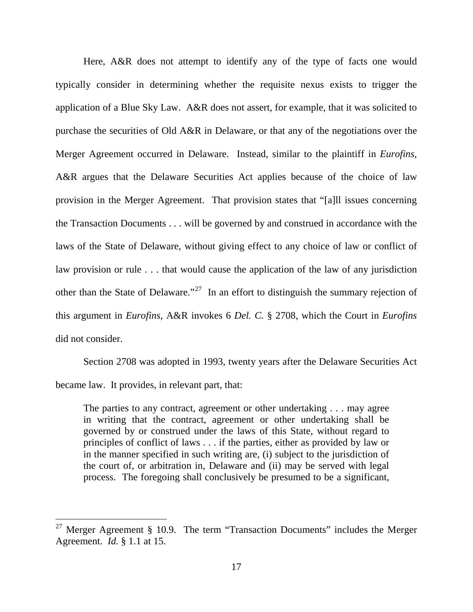Here, A&R does not attempt to identify any of the type of facts one would typically consider in determining whether the requisite nexus exists to trigger the application of a Blue Sky Law. A&R does not assert, for example, that it was solicited to purchase the securities of Old A&R in Delaware, or that any of the negotiations over the Merger Agreement occurred in Delaware. Instead, similar to the plaintiff in *Eurofins*, A&R argues that the Delaware Securities Act applies because of the choice of law provision in the Merger Agreement. That provision states that "[a]ll issues concerning the Transaction Documents . . . will be governed by and construed in accordance with the laws of the State of Delaware, without giving effect to any choice of law or conflict of law provision or rule . . . that would cause the application of the law of any jurisdiction other than the State of Delaware."<sup>[27](#page-18-0)</sup> In an effort to distinguish the summary rejection of this argument in *Eurofins*, A&R invokes 6 *Del. C.* § 2708, which the Court in *Eurofins* did not consider.

Section 2708 was adopted in 1993, twenty years after the Delaware Securities Act became law. It provides, in relevant part, that:

The parties to any contract, agreement or other undertaking . . . may agree in writing that the contract, agreement or other undertaking shall be governed by or construed under the laws of this State, without regard to principles of conflict of laws . . . if the parties, either as provided by law or in the manner specified in such writing are, (i) subject to the jurisdiction of the court of, or arbitration in, Delaware and (ii) may be served with legal process. The foregoing shall conclusively be presumed to be a significant,

<span id="page-18-0"></span><sup>&</sup>lt;sup>27</sup> Merger Agreement § 10.9. The term "Transaction Documents" includes the Merger Agreement. *Id.* § 1.1 at 15.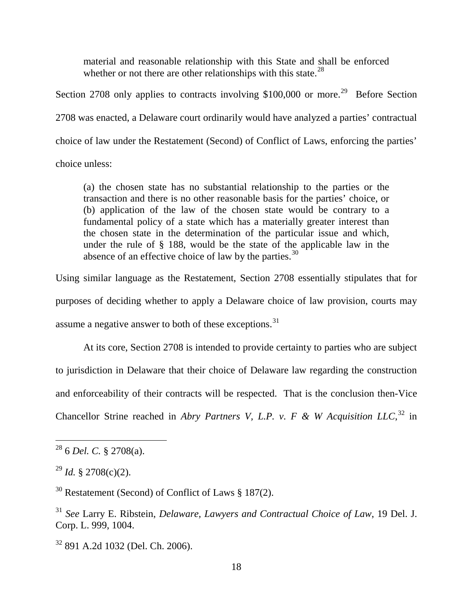material and reasonable relationship with this State and shall be enforced whether or not there are other relationships with this state.<sup>[28](#page-19-0)</sup>

Section 2708 only applies to contracts involving  $$100,000$  or more.<sup>[29](#page-19-1)</sup> Before Section 2708 was enacted, a Delaware court ordinarily would have analyzed a parties' contractual choice of law under the Restatement (Second) of Conflict of Laws, enforcing the parties'

choice unless:

(a) the chosen state has no substantial relationship to the parties or the transaction and there is no other reasonable basis for the parties' choice, or (b) application of the law of the chosen state would be contrary to a fundamental policy of a state which has a materially greater interest than the chosen state in the determination of the particular issue and which, under the rule of § 188, would be the state of the applicable law in the absence of an effective choice of law by the parties.  $30$ 

Using similar language as the Restatement, Section 2708 essentially stipulates that for purposes of deciding whether to apply a Delaware choice of law provision, courts may assume a negative answer to both of these exceptions.  $31$ 

At its core, Section 2708 is intended to provide certainty to parties who are subject to jurisdiction in Delaware that their choice of Delaware law regarding the construction and enforceability of their contracts will be respected. That is the conclusion then-Vice Chancellor Strine reached in *Abry Partners V, L.P. v. F & W Acquisition LLC*,<sup>[32](#page-19-4)</sup> in

<span id="page-19-0"></span><sup>28</sup> 6 *Del. C.* § 2708(a).

<span id="page-19-1"></span> $^{29}$  *Id.* § 2708(c)(2).

<span id="page-19-2"></span> $30$  Restatement (Second) of Conflict of Laws § 187(2).

<span id="page-19-3"></span><sup>31</sup> *See* Larry E. Ribstein, *Delaware, Lawyers and Contractual Choice of Law*, 19 Del. J. Corp. L. 999, 1004.

<span id="page-19-4"></span><sup>32</sup> 891 A.2d 1032 (Del. Ch. 2006).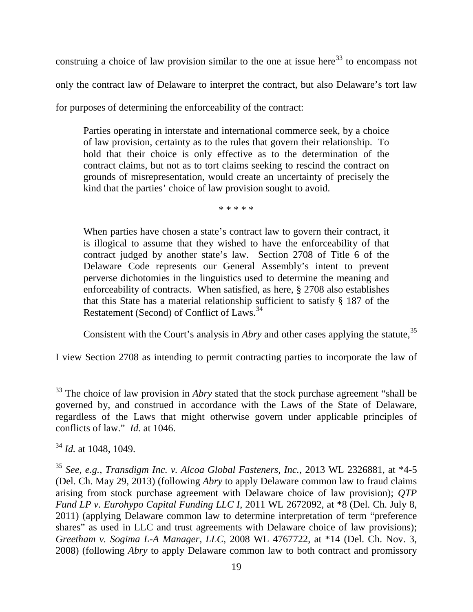construing a choice of law provision similar to the one at issue here<sup>[33](#page-20-0)</sup> to encompass not only the contract law of Delaware to interpret the contract, but also Delaware's tort law for purposes of determining the enforceability of the contract:

Parties operating in interstate and international commerce seek, by a choice of law provision, certainty as to the rules that govern their relationship. To hold that their choice is only effective as to the determination of the contract claims, but not as to tort claims seeking to rescind the contract on grounds of misrepresentation, would create an uncertainty of precisely the kind that the parties' choice of law provision sought to avoid.

\* \* \* \* \*

When parties have chosen a state's contract law to govern their contract, it is illogical to assume that they wished to have the enforceability of that contract judged by another state's law. Section 2708 of Title 6 of the Delaware Code represents our General Assembly's intent to prevent perverse dichotomies in the linguistics used to determine the meaning and enforceability of contracts. When satisfied, as here, § 2708 also establishes that this State has a material relationship sufficient to satisfy § 187 of the Restatement (Second) of Conflict of Laws.<sup>[34](#page-20-1)</sup>

Consistent with the Court's analysis in *Abry* and other cases applying the statute,<sup>[35](#page-20-2)</sup>

I view Section 2708 as intending to permit contracting parties to incorporate the law of

<span id="page-20-0"></span><sup>&</sup>lt;sup>33</sup> The choice of law provision in *Abry* stated that the stock purchase agreement "shall be governed by, and construed in accordance with the Laws of the State of Delaware, regardless of the Laws that might otherwise govern under applicable principles of conflicts of law." *Id.* at 1046.

<span id="page-20-1"></span><sup>34</sup> *Id.* at 1048, 1049.

<span id="page-20-2"></span><sup>35</sup> *See, e.g.*, *Transdigm Inc. v. Alcoa Global Fasteners, Inc.*, 2013 WL 2326881, at \*4-5 (Del. Ch. May 29, 2013) (following *Abry* to apply Delaware common law to fraud claims arising from stock purchase agreement with Delaware choice of law provision); *QTP Fund LP v. Eurohypo Capital Funding LLC I*, 2011 WL 2672092, at \*8 (Del. Ch. July 8, 2011) (applying Delaware common law to determine interpretation of term "preference shares" as used in LLC and trust agreements with Delaware choice of law provisions); *Greetham v. Sogima L-A Manager, LLC*, 2008 WL 4767722, at \*14 (Del. Ch. Nov. 3, 2008) (following *Abry* to apply Delaware common law to both contract and promissory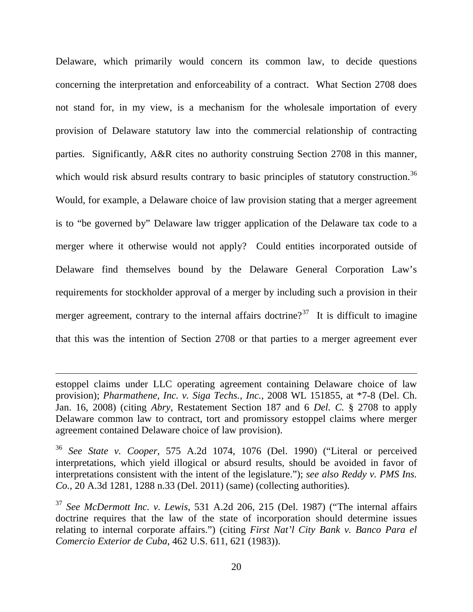Delaware, which primarily would concern its common law, to decide questions concerning the interpretation and enforceability of a contract. What Section 2708 does not stand for, in my view, is a mechanism for the wholesale importation of every provision of Delaware statutory law into the commercial relationship of contracting parties. Significantly, A&R cites no authority construing Section 2708 in this manner, which would risk absurd results contrary to basic principles of statutory construction.<sup>[36](#page-21-0)</sup> Would, for example, a Delaware choice of law provision stating that a merger agreement is to "be governed by" Delaware law trigger application of the Delaware tax code to a merger where it otherwise would not apply? Could entities incorporated outside of Delaware find themselves bound by the Delaware General Corporation Law's requirements for stockholder approval of a merger by including such a provision in their merger agreement, contrary to the internal affairs doctrine?<sup>[37](#page-21-1)</sup> It is difficult to imagine that this was the intention of Section 2708 or that parties to a merger agreement ever

estoppel claims under LLC operating agreement containing Delaware choice of law provision); *Pharmathene, Inc. v. Siga Techs., Inc.*, 2008 WL 151855, at \*7-8 (Del. Ch. Jan. 16, 2008) (citing *Abry*, Restatement Section 187 and 6 *Del. C.* § 2708 to apply Delaware common law to contract, tort and promissory estoppel claims where merger agreement contained Delaware choice of law provision).

<span id="page-21-0"></span><sup>36</sup> *See State v. Cooper*, 575 A.2d 1074, 1076 (Del. 1990) ("Literal or perceived interpretations, which yield illogical or absurd results, should be avoided in favor of interpretations consistent with the intent of the legislature."); *see also Reddy v. PMS Ins. Co.*, 20 A.3d 1281, 1288 n.33 (Del. 2011) (same) (collecting authorities).

<span id="page-21-1"></span><sup>37</sup> *See McDermott Inc. v. Lewis*, 531 A.2d 206, 215 (Del. 1987) ("The internal affairs doctrine requires that the law of the state of incorporation should determine issues relating to internal corporate affairs.") (citing *First Nat'l City Bank v. Banco Para el Comercio Exterior de Cuba*, 462 U.S. 611, 621 (1983)).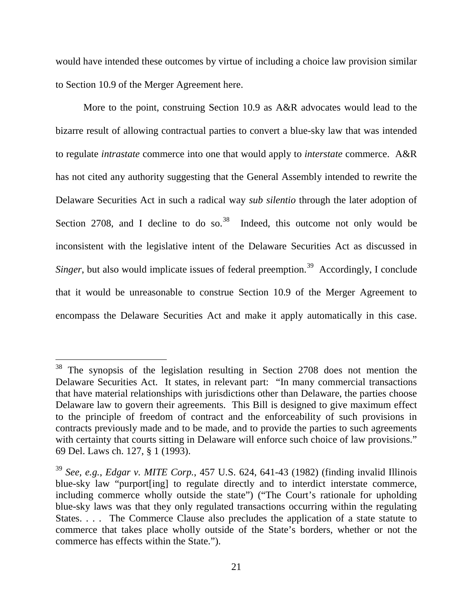would have intended these outcomes by virtue of including a choice law provision similar to Section 10.9 of the Merger Agreement here.

More to the point, construing Section 10.9 as A&R advocates would lead to the bizarre result of allowing contractual parties to convert a blue-sky law that was intended to regulate *intrastate* commerce into one that would apply to *interstate* commerce. A&R has not cited any authority suggesting that the General Assembly intended to rewrite the Delaware Securities Act in such a radical way *sub silentio* through the later adoption of Section 2708, and I decline to do so.<sup>[38](#page-22-0)</sup> Indeed, this outcome not only would be inconsistent with the legislative intent of the Delaware Securities Act as discussed in *Singer*, but also would implicate issues of federal preemption.<sup>[39](#page-22-1)</sup> Accordingly, I conclude that it would be unreasonable to construe Section 10.9 of the Merger Agreement to encompass the Delaware Securities Act and make it apply automatically in this case.

<span id="page-22-0"></span><sup>&</sup>lt;sup>38</sup> The synopsis of the legislation resulting in Section 2708 does not mention the Delaware Securities Act. It states, in relevant part: "In many commercial transactions that have material relationships with jurisdictions other than Delaware, the parties choose Delaware law to govern their agreements. This Bill is designed to give maximum effect to the principle of freedom of contract and the enforceability of such provisions in contracts previously made and to be made, and to provide the parties to such agreements with certainty that courts sitting in Delaware will enforce such choice of law provisions." 69 Del. Laws ch. 127, § 1 (1993).

<span id="page-22-1"></span><sup>39</sup> *See, e.g.*, *Edgar v. MITE Corp.*, 457 U.S. 624, 641-43 (1982) (finding invalid Illinois blue-sky law "purport[ing] to regulate directly and to interdict interstate commerce, including commerce wholly outside the state") ("The Court's rationale for upholding blue-sky laws was that they only regulated transactions occurring within the regulating States. . . . The Commerce Clause also precludes the application of a state statute to commerce that takes place wholly outside of the State's borders, whether or not the commerce has effects within the State.").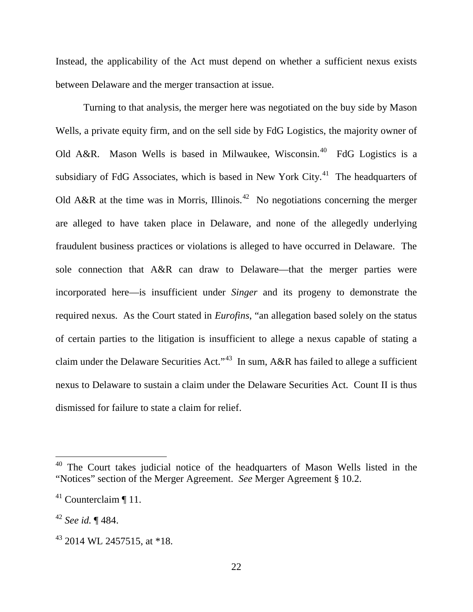Instead, the applicability of the Act must depend on whether a sufficient nexus exists between Delaware and the merger transaction at issue.

Turning to that analysis, the merger here was negotiated on the buy side by Mason Wells, a private equity firm, and on the sell side by FdG Logistics, the majority owner of Old A&R. Mason Wells is based in Milwaukee, Wisconsin.<sup>[40](#page-23-0)</sup> FdG Logistics is a subsidiary of FdG Associates, which is based in New York City.<sup>[41](#page-23-1)</sup> The headquarters of Old A&R at the time was in Morris, Illinois.<sup>42</sup> No negotiations concerning the merger are alleged to have taken place in Delaware, and none of the allegedly underlying fraudulent business practices or violations is alleged to have occurred in Delaware. The sole connection that A&R can draw to Delaware—that the merger parties were incorporated here—is insufficient under *Singer* and its progeny to demonstrate the required nexus. As the Court stated in *Eurofins*, "an allegation based solely on the status of certain parties to the litigation is insufficient to allege a nexus capable of stating a claim under the Delaware Securities Act."<sup>43</sup> In sum, A&R has failed to allege a sufficient nexus to Delaware to sustain a claim under the Delaware Securities Act. Count II is thus dismissed for failure to state a claim for relief.

<span id="page-23-0"></span><sup>&</sup>lt;sup>40</sup> The Court takes judicial notice of the headquarters of Mason Wells listed in the "Notices" section of the Merger Agreement. *See* Merger Agreement § 10.2.

<span id="page-23-1"></span> $41$  Counterclaim ¶ 11.

<span id="page-23-2"></span><sup>42</sup> *See id.* ¶ 484.

<span id="page-23-3"></span> $43$  2014 WL 2457515, at \*18.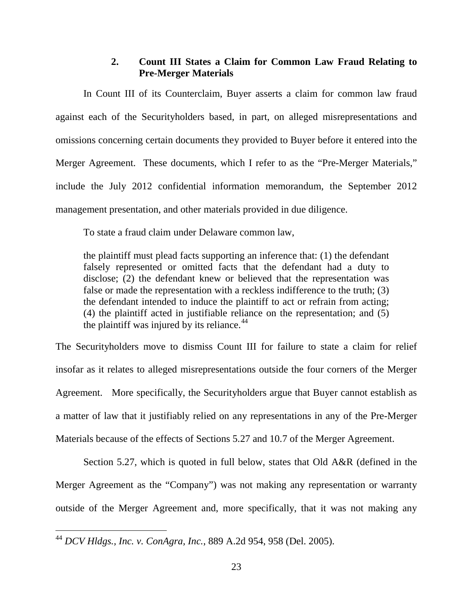## **2. Count III States a Claim for Common Law Fraud Relating to Pre-Merger Materials**

In Count III of its Counterclaim, Buyer asserts a claim for common law fraud against each of the Securityholders based, in part, on alleged misrepresentations and omissions concerning certain documents they provided to Buyer before it entered into the Merger Agreement. These documents, which I refer to as the "Pre-Merger Materials," include the July 2012 confidential information memorandum, the September 2012 management presentation, and other materials provided in due diligence.

To state a fraud claim under Delaware common law,

the plaintiff must plead facts supporting an inference that: (1) the defendant falsely represented or omitted facts that the defendant had a duty to disclose; (2) the defendant knew or believed that the representation was false or made the representation with a reckless indifference to the truth; (3) the defendant intended to induce the plaintiff to act or refrain from acting; (4) the plaintiff acted in justifiable reliance on the representation; and (5) the plaintiff was injured by its reliance. $44$ 

The Securityholders move to dismiss Count III for failure to state a claim for relief insofar as it relates to alleged misrepresentations outside the four corners of the Merger Agreement. More specifically, the Securityholders argue that Buyer cannot establish as a matter of law that it justifiably relied on any representations in any of the Pre-Merger Materials because of the effects of Sections 5.27 and 10.7 of the Merger Agreement.

Section 5.27, which is quoted in full below, states that Old A&R (defined in the Merger Agreement as the "Company") was not making any representation or warranty outside of the Merger Agreement and, more specifically, that it was not making any

<span id="page-24-0"></span><sup>44</sup> *DCV Hldgs., Inc. v. ConAgra, Inc.*, 889 A.2d 954, 958 (Del. 2005).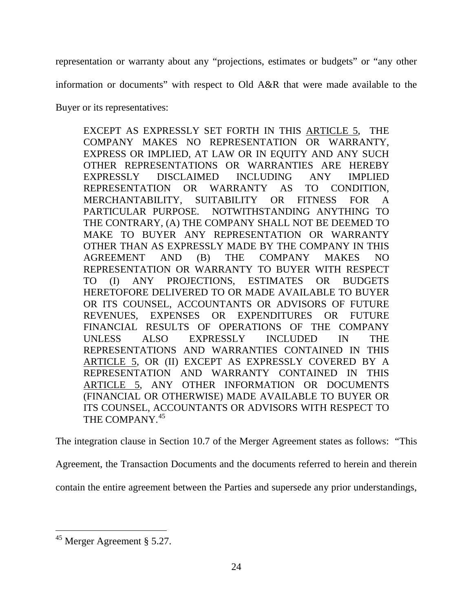representation or warranty about any "projections, estimates or budgets" or "any other

information or documents" with respect to Old A&R that were made available to the

Buyer or its representatives:

EXCEPT AS EXPRESSLY SET FORTH IN THIS ARTICLE 5, THE COMPANY MAKES NO REPRESENTATION OR WARRANTY, EXPRESS OR IMPLIED, AT LAW OR IN EQUITY AND ANY SUCH OTHER REPRESENTATIONS OR WARRANTIES ARE HEREBY EXPRESSLY DISCLAIMED INCLUDING ANY IMPLIED REPRESENTATION OR WARRANTY AS TO CONDITION, MERCHANTABILITY, SUITABILITY OR FITNESS FOR A PARTICULAR PURPOSE. NOTWITHSTANDING ANYTHING TO THE CONTRARY, (A) THE COMPANY SHALL NOT BE DEEMED TO MAKE TO BUYER ANY REPRESENTATION OR WARRANTY OTHER THAN AS EXPRESSLY MADE BY THE COMPANY IN THIS AGREEMENT AND (B) THE COMPANY MAKES NO REPRESENTATION OR WARRANTY TO BUYER WITH RESPECT TO (I) ANY PROJECTIONS, ESTIMATES OR BUDGETS HERETOFORE DELIVERED TO OR MADE AVAILABLE TO BUYER OR ITS COUNSEL, ACCOUNTANTS OR ADVISORS OF FUTURE REVENUES, EXPENSES OR EXPENDITURES OR FUTURE FINANCIAL RESULTS OF OPERATIONS OF THE COMPANY UNLESS ALSO EXPRESSLY INCLUDED IN THE REPRESENTATIONS AND WARRANTIES CONTAINED IN THIS ARTICLE 5, OR (II) EXCEPT AS EXPRESSLY COVERED BY A REPRESENTATION AND WARRANTY CONTAINED IN THIS ARTICLE 5, ANY OTHER INFORMATION OR DOCUMENTS (FINANCIAL OR OTHERWISE) MADE AVAILABLE TO BUYER OR ITS COUNSEL, ACCOUNTANTS OR ADVISORS WITH RESPECT TO THE COMPANY.<sup>[45](#page-25-0)</sup>

The integration clause in Section 10.7 of the Merger Agreement states as follows: "This

Agreement, the Transaction Documents and the documents referred to herein and therein

contain the entire agreement between the Parties and supersede any prior understandings,

<span id="page-25-0"></span><sup>&</sup>lt;sup>45</sup> Merger Agreement § 5.27.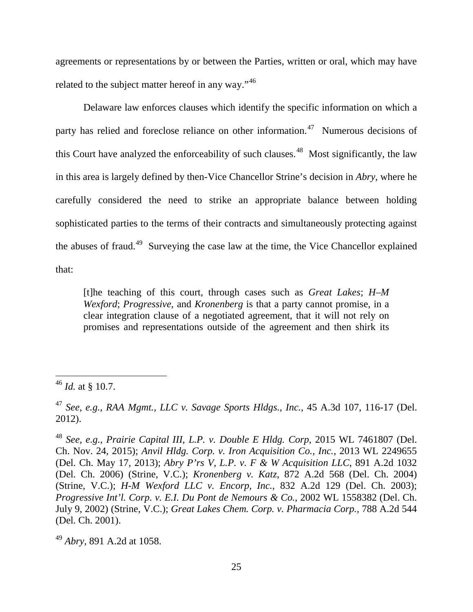agreements or representations by or between the Parties, written or oral, which may have related to the subject matter hereof in any way."<sup>[46](#page-26-0)</sup>

Delaware law enforces clauses which identify the specific information on which a party has relied and foreclose reliance on other information.<sup>47</sup> Numerous decisions of this Court have analyzed the enforceability of such clauses.<sup>48</sup> Most significantly, the law in this area is largely defined by then-Vice Chancellor Strine's decision in *Abry*, where he carefully considered the need to strike an appropriate balance between holding sophisticated parties to the terms of their contracts and simultaneously protecting against the abuses of fraud.<sup>49</sup> Surveying the case law at the time, the Vice Chancellor explained that:

[t]he teaching of this court, through cases such as *Great Lakes*; *H–M Wexford*; *Progressive*, and *Kronenberg* is that a party cannot promise, in a clear integration clause of a negotiated agreement, that it will not rely on promises and representations outside of the agreement and then shirk its

<span id="page-26-0"></span><sup>46</sup> *Id.* at § 10.7.

<span id="page-26-1"></span><sup>47</sup> *See, e.g.*, *RAA Mgmt., LLC v. Savage Sports Hldgs., Inc.*, 45 A.3d 107, 116-17 (Del. 2012).

<span id="page-26-2"></span><sup>48</sup> *See, e.g.*, *Prairie Capital III, L.P. v. Double E Hldg. Corp*, 2015 WL 7461807 (Del. Ch. Nov. 24, 2015); *Anvil Hldg. Corp. v. Iron Acquisition Co., Inc.*, 2013 WL 2249655 (Del. Ch. May 17, 2013); *Abry P'rs V, L.P. v. F & W Acquisition LLC*, 891 A.2d 1032 (Del. Ch. 2006) (Strine, V.C.); *Kronenberg v. Katz*, 872 A.2d 568 (Del. Ch. 2004) (Strine, V.C.); *H-M Wexford LLC v. Encorp, Inc.*, 832 A.2d 129 (Del. Ch. 2003); *Progressive Int'l. Corp. v. E.I. Du Pont de Nemours & Co.*, 2002 WL 1558382 (Del. Ch. July 9, 2002) (Strine, V.C.); *Great Lakes Chem. Corp. v. Pharmacia Corp.*, 788 A.2d 544 (Del. Ch. 2001).

<span id="page-26-3"></span><sup>49</sup> *Abry*, 891 A.2d at 1058.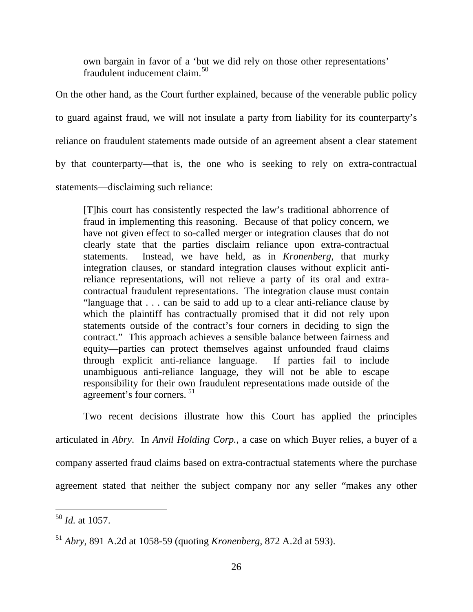own bargain in favor of a 'but we did rely on those other representations' fraudulent inducement claim.<sup>[50](#page-27-0)</sup>

On the other hand, as the Court further explained, because of the venerable public policy to guard against fraud, we will not insulate a party from liability for its counterparty's reliance on fraudulent statements made outside of an agreement absent a clear statement by that counterparty—that is, the one who is seeking to rely on extra-contractual statements—disclaiming such reliance:

[T]his court has consistently respected the law's traditional abhorrence of fraud in implementing this reasoning. Because of that policy concern, we have not given effect to so-called merger or integration clauses that do not clearly state that the parties disclaim reliance upon extra-contractual statements. Instead, we have held, as in *Kronenberg*, that murky integration clauses, or standard integration clauses without explicit antireliance representations, will not relieve a party of its oral and extracontractual fraudulent representations. The integration clause must contain "language that . . . can be said to add up to a clear anti-reliance clause by which the plaintiff has contractually promised that it did not rely upon statements outside of the contract's four corners in deciding to sign the contract." This approach achieves a sensible balance between fairness and equity—parties can protect themselves against unfounded fraud claims through explicit anti-reliance language. If parties fail to include unambiguous anti-reliance language, they will not be able to escape responsibility for their own fraudulent representations made outside of the agreement's four corners. [51](#page-27-1)

Two recent decisions illustrate how this Court has applied the principles articulated in *Abry*. In *Anvil Holding Corp.*, a case on which Buyer relies, a buyer of a company asserted fraud claims based on extra-contractual statements where the purchase agreement stated that neither the subject company nor any seller "makes any other

<span id="page-27-0"></span><sup>50</sup> *Id.* at 1057.  $\overline{a}$ 

<span id="page-27-1"></span><sup>51</sup> *Abry*, 891 A.2d at 1058-59 (quoting *Kronenberg*, 872 A.2d at 593).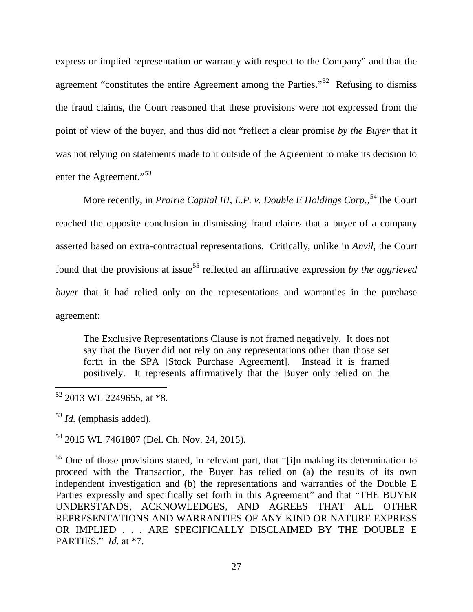express or implied representation or warranty with respect to the Company" and that the agreement "constitutes the entire Agreement among the Parties."<sup>[52](#page-28-0)</sup> Refusing to dismiss the fraud claims, the Court reasoned that these provisions were not expressed from the point of view of the buyer, and thus did not "reflect a clear promise *by the Buyer* that it was not relying on statements made to it outside of the Agreement to make its decision to enter the Agreement."<sup>[53](#page-28-1)</sup>

More recently, in *Prairie Capital III, L.P. v. Double E Holdings Corp.*,<sup>[54](#page-28-2)</sup> the Court reached the opposite conclusion in dismissing fraud claims that a buyer of a company asserted based on extra-contractual representations. Critically, unlike in *Anvil*, the Court found that the provisions at issue<sup>[55](#page-28-3)</sup> reflected an affirmative expression *by the aggrieved buyer* that it had relied only on the representations and warranties in the purchase agreement:

The Exclusive Representations Clause is not framed negatively. It does not say that the Buyer did not rely on any representations other than those set forth in the SPA [Stock Purchase Agreement]. Instead it is framed positively. It represents affirmatively that the Buyer only relied on the

<span id="page-28-1"></span><sup>53</sup> *Id.* (emphasis added).

 $\overline{a}$ 

<span id="page-28-2"></span><sup>54</sup> 2015 WL 7461807 (Del. Ch. Nov. 24, 2015).

<span id="page-28-3"></span><sup>55</sup> One of those provisions stated, in relevant part, that "[i]n making its determination to proceed with the Transaction, the Buyer has relied on (a) the results of its own independent investigation and (b) the representations and warranties of the Double E Parties expressly and specifically set forth in this Agreement" and that "THE BUYER UNDERSTANDS, ACKNOWLEDGES, AND AGREES THAT ALL OTHER REPRESENTATIONS AND WARRANTIES OF ANY KIND OR NATURE EXPRESS OR IMPLIED . . . ARE SPECIFICALLY DISCLAIMED BY THE DOUBLE E PARTIES." *Id.* at \*7.

<span id="page-28-0"></span> $52$  2013 WL 2249655, at \*8.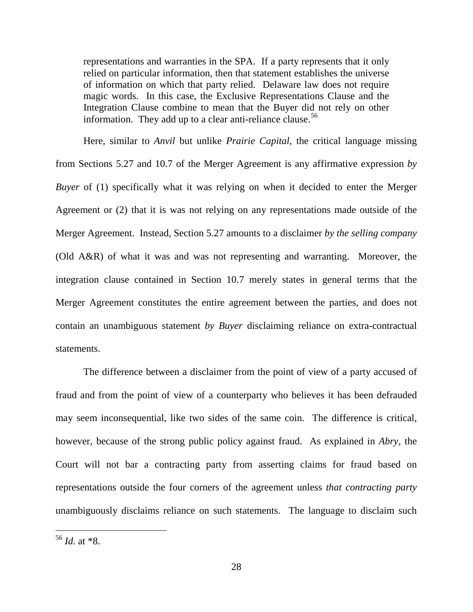representations and warranties in the SPA. If a party represents that it only relied on particular information, then that statement establishes the universe of information on which that party relied. Delaware law does not require magic words. In this case, the Exclusive Representations Clause and the Integration Clause combine to mean that the Buyer did not rely on other information. They add up to a clear anti-reliance clause.<sup>[56](#page-29-0)</sup>

Here, similar to *Anvil* but unlike *Prairie Capital*, the critical language missing from Sections 5.27 and 10.7 of the Merger Agreement is any affirmative expression *by Buyer* of (1) specifically what it was relying on when it decided to enter the Merger Agreement or (2) that it is was not relying on any representations made outside of the Merger Agreement. Instead, Section 5.27 amounts to a disclaimer *by the selling company*  (Old A&R) of what it was and was not representing and warranting. Moreover, the integration clause contained in Section 10.7 merely states in general terms that the Merger Agreement constitutes the entire agreement between the parties, and does not contain an unambiguous statement *by Buyer* disclaiming reliance on extra-contractual statements.

The difference between a disclaimer from the point of view of a party accused of fraud and from the point of view of a counterparty who believes it has been defrauded may seem inconsequential, like two sides of the same coin. The difference is critical, however, because of the strong public policy against fraud. As explained in *Abry*, the Court will not bar a contracting party from asserting claims for fraud based on representations outside the four corners of the agreement unless *that contracting party*  unambiguously disclaims reliance on such statements. The language to disclaim such

<span id="page-29-0"></span> $^{56}$  *Id.* at  $*8$ .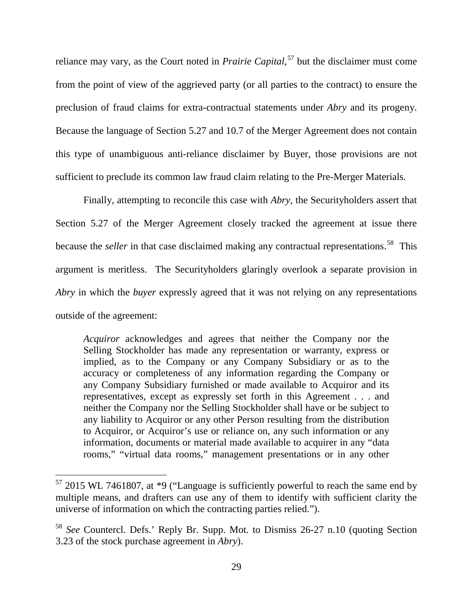reliance may vary, as the Court noted in *Prairie Capital*, [57](#page-30-0) but the disclaimer must come from the point of view of the aggrieved party (or all parties to the contract) to ensure the preclusion of fraud claims for extra-contractual statements under *Abry* and its progeny. Because the language of Section 5.27 and 10.7 of the Merger Agreement does not contain this type of unambiguous anti-reliance disclaimer by Buyer, those provisions are not sufficient to preclude its common law fraud claim relating to the Pre-Merger Materials.

Finally, attempting to reconcile this case with *Abry*, the Securityholders assert that Section 5.27 of the Merger Agreement closely tracked the agreement at issue there because the *seller* in that case disclaimed making any contractual representations. [58](#page-30-1) This argument is meritless. The Securityholders glaringly overlook a separate provision in *Abry* in which the *buyer* expressly agreed that it was not relying on any representations outside of the agreement:

*Acquiror* acknowledges and agrees that neither the Company nor the Selling Stockholder has made any representation or warranty, express or implied, as to the Company or any Company Subsidiary or as to the accuracy or completeness of any information regarding the Company or any Company Subsidiary furnished or made available to Acquiror and its representatives, except as expressly set forth in this Agreement . . . and neither the Company nor the Selling Stockholder shall have or be subject to any liability to Acquiror or any other Person resulting from the distribution to Acquiror, or Acquiror's use or reliance on, any such information or any information, documents or material made available to acquirer in any "data rooms," "virtual data rooms," management presentations or in any other

<span id="page-30-0"></span> $57$  2015 WL 7461807, at  $*9$  ("Language is sufficiently powerful to reach the same end by multiple means, and drafters can use any of them to identify with sufficient clarity the universe of information on which the contracting parties relied.").

<span id="page-30-1"></span><sup>58</sup> *See* Countercl. Defs.' Reply Br. Supp. Mot. to Dismiss 26-27 n.10 (quoting Section 3.23 of the stock purchase agreement in *Abry*).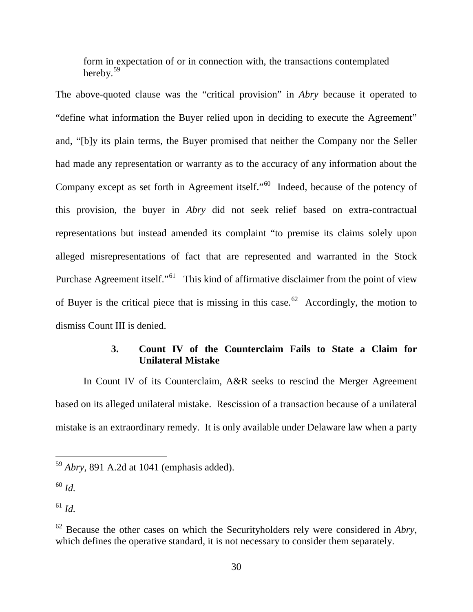form in expectation of or in connection with, the transactions contemplated hereby. $59$ 

The above-quoted clause was the "critical provision" in *Abry* because it operated to "define what information the Buyer relied upon in deciding to execute the Agreement" and, "[b]y its plain terms, the Buyer promised that neither the Company nor the Seller had made any representation or warranty as to the accuracy of any information about the Company except as set forth in Agreement itself."[60](#page-31-1) Indeed, because of the potency of this provision, the buyer in *Abry* did not seek relief based on extra-contractual representations but instead amended its complaint "to premise its claims solely upon alleged misrepresentations of fact that are represented and warranted in the Stock Purchase Agreement itself."<sup>61</sup> This kind of affirmative disclaimer from the point of view of Buyer is the critical piece that is missing in this case.<sup>62</sup> Accordingly, the motion to dismiss Count III is denied.

# **3. Count IV of the Counterclaim Fails to State a Claim for Unilateral Mistake**

In Count IV of its Counterclaim, A&R seeks to rescind the Merger Agreement based on its alleged unilateral mistake. Rescission of a transaction because of a unilateral mistake is an extraordinary remedy. It is only available under Delaware law when a party

<span id="page-31-0"></span><sup>59</sup> *Abry*, 891 A.2d at 1041 (emphasis added).

<span id="page-31-1"></span><sup>60</sup> *Id.*

<span id="page-31-2"></span><sup>61</sup> *Id.*

<span id="page-31-3"></span><sup>62</sup> Because the other cases on which the Securityholders rely were considered in *Abry*, which defines the operative standard, it is not necessary to consider them separately.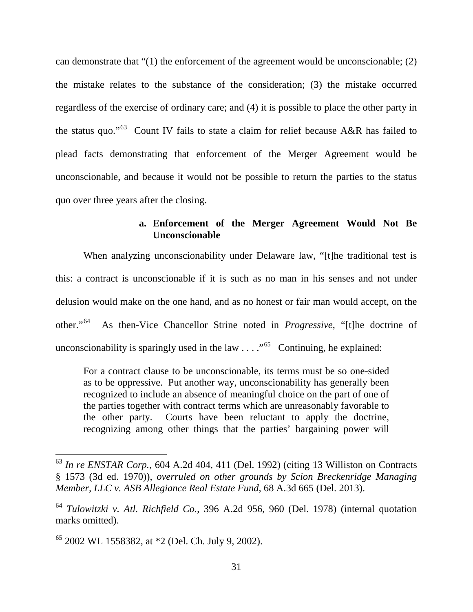can demonstrate that "(1) the enforcement of the agreement would be unconscionable; (2) the mistake relates to the substance of the consideration; (3) the mistake occurred regardless of the exercise of ordinary care; and (4) it is possible to place the other party in the status quo."<sup>63</sup> Count IV fails to state a claim for relief because A&R has failed to plead facts demonstrating that enforcement of the Merger Agreement would be unconscionable, and because it would not be possible to return the parties to the status quo over three years after the closing.

# **a. Enforcement of the Merger Agreement Would Not Be Unconscionable**

When analyzing unconscionability under Delaware law, "[t]he traditional test is this: a contract is unconscionable if it is such as no man in his senses and not under delusion would make on the one hand, and as no honest or fair man would accept, on the other."[64](#page-32-1) As then-Vice Chancellor Strine noted in *Progressive*, "[t]he doctrine of unconscionability is sparingly used in the law  $\dots$ ."<sup>65</sup> Continuing, he explained:

For a contract clause to be unconscionable, its terms must be so one-sided as to be oppressive. Put another way, unconscionability has generally been recognized to include an absence of meaningful choice on the part of one of the parties together with contract terms which are unreasonably favorable to the other party. Courts have been reluctant to apply the doctrine, recognizing among other things that the parties' bargaining power will

<span id="page-32-0"></span><sup>63</sup> *In re ENSTAR Corp.*, 604 A.2d 404, 411 (Del. 1992) (citing 13 Williston on Contracts § 1573 (3d ed. 1970)), *overruled on other grounds by Scion Breckenridge Managing Member, LLC v. ASB Allegiance Real Estate Fund*, 68 A.3d 665 (Del. 2013).

<span id="page-32-1"></span><sup>64</sup> *Tulowitzki v. Atl. Richfield Co.*, 396 A.2d 956, 960 (Del. 1978) (internal quotation marks omitted).

<span id="page-32-2"></span><sup>65</sup> 2002 WL 1558382, at \*2 (Del. Ch. July 9, 2002).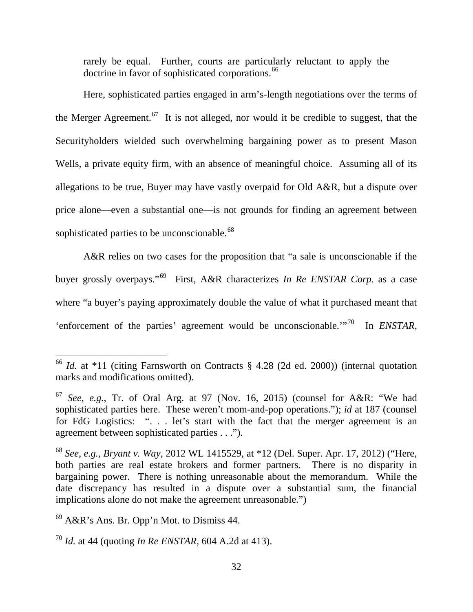rarely be equal. Further, courts are particularly reluctant to apply the doctrine in favor of sophisticated corporations.<sup>[66](#page-33-0)</sup>

Here, sophisticated parties engaged in arm's-length negotiations over the terms of the Merger Agreement.<sup>[67](#page-33-1)</sup> It is not alleged, nor would it be credible to suggest, that the Securityholders wielded such overwhelming bargaining power as to present Mason Wells, a private equity firm, with an absence of meaningful choice. Assuming all of its allegations to be true, Buyer may have vastly overpaid for Old A&R, but a dispute over price alone—even a substantial one—is not grounds for finding an agreement between sophisticated parties to be unconscionable.<sup>[68](#page-33-2)</sup>

A&R relies on two cases for the proposition that "a sale is unconscionable if the buyer grossly overpays."[69](#page-33-3) First, A&R characterizes *In Re ENSTAR Corp.* as a case where "a buyer's paying approximately double the value of what it purchased meant that 'enforcement of the parties' agreement would be unconscionable.'"[70](#page-33-4) In *ENSTAR*,

<span id="page-33-0"></span><sup>66</sup> *Id.* at \*11 (citing Farnsworth on Contracts § 4.28 (2d ed. 2000)) (internal quotation marks and modifications omitted).

<span id="page-33-1"></span><sup>67</sup> *See, e.g.*, Tr. of Oral Arg. at 97 (Nov. 16, 2015) (counsel for A&R: "We had sophisticated parties here. These weren't mom-and-pop operations."); *id* at 187 (counsel for FdG Logistics: ". . . let's start with the fact that the merger agreement is an agreement between sophisticated parties . . .").

<span id="page-33-2"></span><sup>68</sup> *See, e.g.*, *Bryant v. Way*, 2012 WL 1415529, at \*12 (Del. Super. Apr. 17, 2012) ("Here, both parties are real estate brokers and former partners. There is no disparity in bargaining power. There is nothing unreasonable about the memorandum. While the date discrepancy has resulted in a dispute over a substantial sum, the financial implications alone do not make the agreement unreasonable.")

<span id="page-33-3"></span> $69$  A&R's Ans. Br. Opp'n Mot. to Dismiss 44.

<span id="page-33-4"></span><sup>70</sup> *Id.* at 44 (quoting *In Re ENSTAR*, 604 A.2d at 413).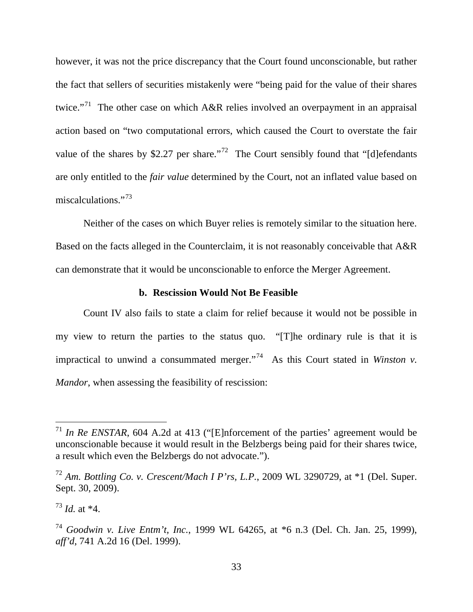however, it was not the price discrepancy that the Court found unconscionable, but rather the fact that sellers of securities mistakenly were "being paid for the value of their shares twice."<sup>[71](#page-34-0)</sup> The other case on which A&R relies involved an overpayment in an appraisal action based on "two computational errors, which caused the Court to overstate the fair value of the shares by \$2.27 per share."<sup>[72](#page-34-1)</sup> The Court sensibly found that "[d]efendants are only entitled to the *fair value* determined by the Court, not an inflated value based on miscalculations."<sup>[73](#page-34-2)</sup>

Neither of the cases on which Buyer relies is remotely similar to the situation here. Based on the facts alleged in the Counterclaim, it is not reasonably conceivable that A&R can demonstrate that it would be unconscionable to enforce the Merger Agreement.

#### **b. Rescission Would Not Be Feasible**

Count IV also fails to state a claim for relief because it would not be possible in my view to return the parties to the status quo. "[T]he ordinary rule is that it is impractical to unwind a consummated merger.<sup> $7^{74}$ </sup> As this Court stated in *Winston v. Mandor*, when assessing the feasibility of rescission:

<span id="page-34-0"></span><sup>&</sup>lt;sup>71</sup> *In Re ENSTAR*, 604 A.2d at 413 ("[E]nforcement of the parties' agreement would be unconscionable because it would result in the Belzbergs being paid for their shares twice, a result which even the Belzbergs do not advocate.").

<span id="page-34-1"></span><sup>72</sup> *Am. Bottling Co. v. Crescent/Mach I P'rs, L.P.*, 2009 WL 3290729, at \*1 (Del. Super. Sept. 30, 2009).

<span id="page-34-2"></span><sup>73</sup> *Id.* at \*4.

<span id="page-34-3"></span><sup>74</sup> *Goodwin v. Live Entm't, Inc.*, 1999 WL 64265, at \*6 n.3 (Del. Ch. Jan. 25, 1999), *aff'd*, 741 A.2d 16 (Del. 1999).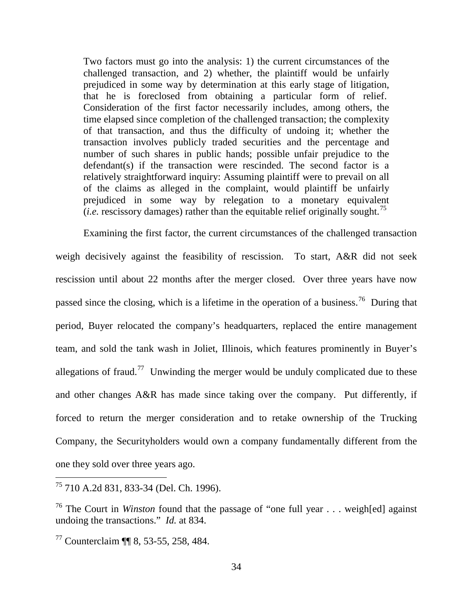Two factors must go into the analysis: 1) the current circumstances of the challenged transaction, and 2) whether, the plaintiff would be unfairly prejudiced in some way by determination at this early stage of litigation, that he is foreclosed from obtaining a particular form of relief. Consideration of the first factor necessarily includes, among others, the time elapsed since completion of the challenged transaction; the complexity of that transaction, and thus the difficulty of undoing it; whether the transaction involves publicly traded securities and the percentage and number of such shares in public hands; possible unfair prejudice to the defendant(s) if the transaction were rescinded. The second factor is a relatively straightforward inquiry: Assuming plaintiff were to prevail on all of the claims as alleged in the complaint, would plaintiff be unfairly prejudiced in some way by relegation to a monetary equivalent (*i.e.* rescissory damages) rather than the equitable relief originally sought.<sup>[75](#page-35-0)</sup>

Examining the first factor, the current circumstances of the challenged transaction weigh decisively against the feasibility of rescission. To start, A&R did not seek rescission until about 22 months after the merger closed. Over three years have now passed since the closing, which is a lifetime in the operation of a business.<sup>76</sup> During that period, Buyer relocated the company's headquarters, replaced the entire management team, and sold the tank wash in Joliet, Illinois, which features prominently in Buyer's allegations of fraud.<sup>77</sup> Unwinding the merger would be unduly complicated due to these and other changes A&R has made since taking over the company. Put differently, if forced to return the merger consideration and to retake ownership of the Trucking Company, the Securityholders would own a company fundamentally different from the one they sold over three years ago.

<span id="page-35-0"></span><sup>75</sup> 710 A.2d 831, 833-34 (Del. Ch. 1996).

<span id="page-35-1"></span><sup>76</sup> The Court in *Winston* found that the passage of "one full year . . . weigh[ed] against undoing the transactions." *Id.* at 834.

<span id="page-35-2"></span><sup>77</sup> Counterclaim ¶¶ 8, 53-55, 258, 484.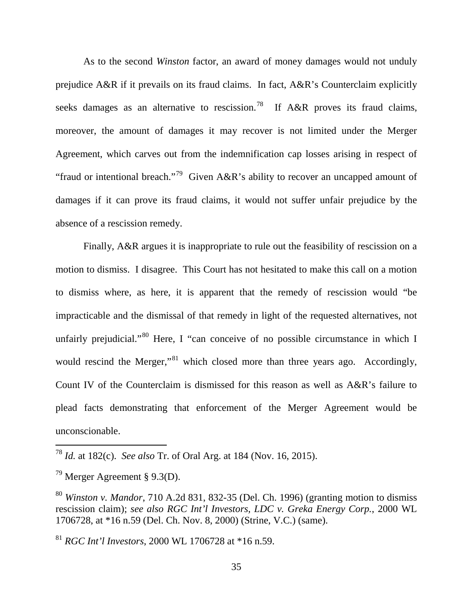As to the second *Winston* factor, an award of money damages would not unduly prejudice A&R if it prevails on its fraud claims. In fact, A&R's Counterclaim explicitly seeks damages as an alternative to rescission.<sup>[78](#page-36-0)</sup> If A&R proves its fraud claims, moreover, the amount of damages it may recover is not limited under the Merger Agreement, which carves out from the indemnification cap losses arising in respect of "fraud or intentional breach."[79](#page-36-1) Given A&R's ability to recover an uncapped amount of damages if it can prove its fraud claims, it would not suffer unfair prejudice by the absence of a rescission remedy.

Finally, A&R argues it is inappropriate to rule out the feasibility of rescission on a motion to dismiss. I disagree. This Court has not hesitated to make this call on a motion to dismiss where, as here, it is apparent that the remedy of rescission would "be impracticable and the dismissal of that remedy in light of the requested alternatives, not unfairly prejudicial."<sup>[80](#page-36-2)</sup> Here, I "can conceive of no possible circumstance in which I would rescind the Merger,"<sup>[81](#page-36-3)</sup> which closed more than three years ago. Accordingly, Count IV of the Counterclaim is dismissed for this reason as well as A&R's failure to plead facts demonstrating that enforcement of the Merger Agreement would be unconscionable.

<span id="page-36-0"></span><sup>78</sup> *Id.* at 182(c). *See also* Tr. of Oral Arg. at 184 (Nov. 16, 2015).

<span id="page-36-1"></span><sup>&</sup>lt;sup>79</sup> Merger Agreement § 9.3(D).

<span id="page-36-2"></span><sup>80</sup> *Winston v. Mandor*, 710 A.2d 831, 832-35 (Del. Ch. 1996) (granting motion to dismiss rescission claim); *see also RGC Int'l Investors, LDC v. Greka Energy Corp.*, 2000 WL 1706728, at \*16 n.59 (Del. Ch. Nov. 8, 2000) (Strine, V.C.) (same).

<span id="page-36-3"></span><sup>81</sup> *RGC Int'l Investors*, 2000 WL 1706728 at \*16 n.59.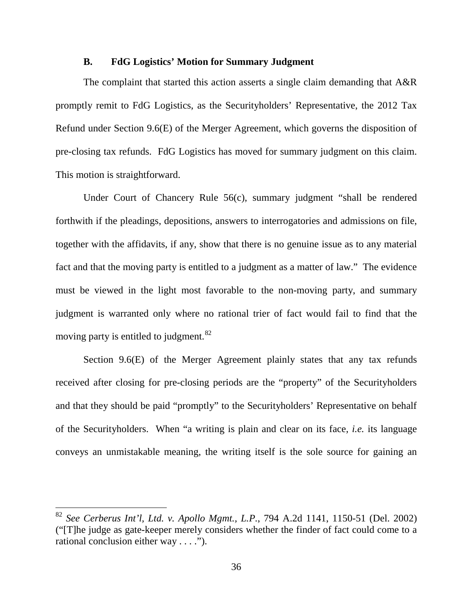#### **B. FdG Logistics' Motion for Summary Judgment**

The complaint that started this action asserts a single claim demanding that A&R promptly remit to FdG Logistics, as the Securityholders' Representative, the 2012 Tax Refund under Section 9.6(E) of the Merger Agreement, which governs the disposition of pre-closing tax refunds. FdG Logistics has moved for summary judgment on this claim. This motion is straightforward.

Under Court of Chancery Rule 56(c), summary judgment "shall be rendered forthwith if the pleadings, depositions, answers to interrogatories and admissions on file, together with the affidavits, if any, show that there is no genuine issue as to any material fact and that the moving party is entitled to a judgment as a matter of law." The evidence must be viewed in the light most favorable to the non-moving party, and summary judgment is warranted only where no rational trier of fact would fail to find that the moving party is entitled to judgment.<sup>[82](#page-37-0)</sup>

Section 9.6(E) of the Merger Agreement plainly states that any tax refunds received after closing for pre-closing periods are the "property" of the Securityholders and that they should be paid "promptly" to the Securityholders' Representative on behalf of the Securityholders. When "a writing is plain and clear on its face, *i.e.* its language conveys an unmistakable meaning, the writing itself is the sole source for gaining an

<span id="page-37-0"></span><sup>82</sup> *See Cerberus Int'l, Ltd. v. Apollo Mgmt., L.P.*, 794 A.2d 1141, 1150-51 (Del. 2002) ("[T]he judge as gate-keeper merely considers whether the finder of fact could come to a rational conclusion either way . . . .").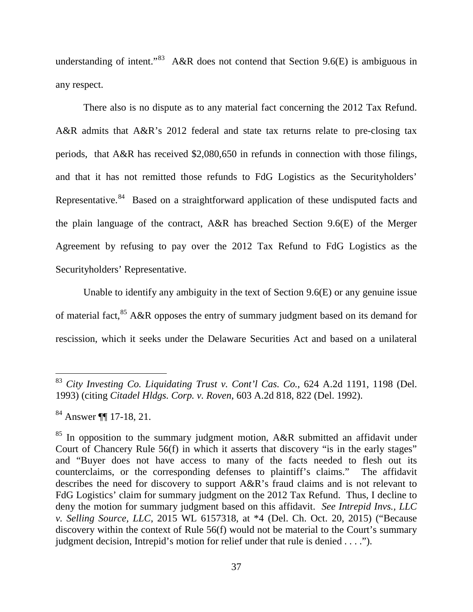understanding of intent."<sup>[83](#page-38-0)</sup> A&R does not contend that Section 9.6(E) is ambiguous in any respect.

There also is no dispute as to any material fact concerning the 2012 Tax Refund. A&R admits that A&R's 2012 federal and state tax returns relate to pre-closing tax periods, that A&R has received \$2,080,650 in refunds in connection with those filings, and that it has not remitted those refunds to FdG Logistics as the Securityholders' Representative.<sup>84</sup> Based on a straightforward application of these undisputed facts and the plain language of the contract, A&R has breached Section 9.6(E) of the Merger Agreement by refusing to pay over the 2012 Tax Refund to FdG Logistics as the Securityholders' Representative.

Unable to identify any ambiguity in the text of Section 9.6(E) or any genuine issue of material fact, <sup>[85](#page-38-2)</sup> A&R opposes the entry of summary judgment based on its demand for rescission, which it seeks under the Delaware Securities Act and based on a unilateral

<span id="page-38-0"></span><sup>83</sup> *City Investing Co. Liquidating Trust v. Cont'l Cas. Co.*, 624 A.2d 1191, 1198 (Del. 1993) (citing *Citadel Hldgs. Corp. v. Roven*, 603 A.2d 818, 822 (Del. 1992).

<span id="page-38-1"></span><sup>84</sup> Answer ¶¶ 17-18, 21.

<span id="page-38-2"></span> $85$  In opposition to the summary judgment motion, A&R submitted an affidavit under Court of Chancery Rule 56(f) in which it asserts that discovery "is in the early stages" and "Buyer does not have access to many of the facts needed to flesh out its counterclaims, or the corresponding defenses to plaintiff's claims." The affidavit describes the need for discovery to support A&R's fraud claims and is not relevant to FdG Logistics' claim for summary judgment on the 2012 Tax Refund. Thus, I decline to deny the motion for summary judgment based on this affidavit. *See Intrepid Invs., LLC v. Selling Source, LLC*, 2015 WL 6157318, at \*4 (Del. Ch. Oct. 20, 2015) ("Because discovery within the context of Rule 56(f) would not be material to the Court's summary judgment decision, Intrepid's motion for relief under that rule is denied . . . .").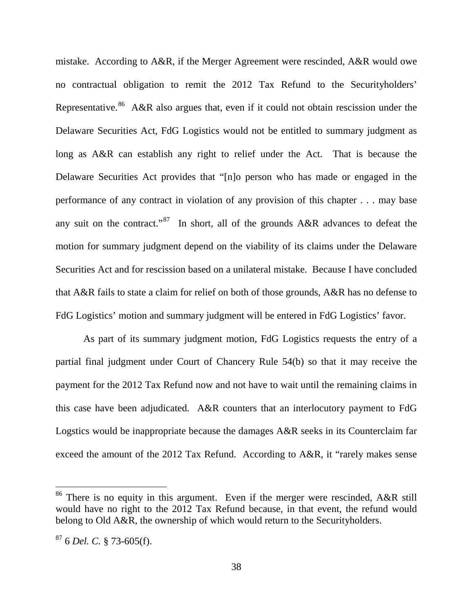mistake. According to A&R, if the Merger Agreement were rescinded, A&R would owe no contractual obligation to remit the 2012 Tax Refund to the Securityholders' Representative.<sup>86</sup> A&R also argues that, even if it could not obtain rescission under the Delaware Securities Act, FdG Logistics would not be entitled to summary judgment as long as A&R can establish any right to relief under the Act. That is because the Delaware Securities Act provides that "[n]o person who has made or engaged in the performance of any contract in violation of any provision of this chapter . . . may base any suit on the contract."<sup>[87](#page-39-1)</sup> In short, all of the grounds  $A\&R$  advances to defeat the motion for summary judgment depend on the viability of its claims under the Delaware Securities Act and for rescission based on a unilateral mistake. Because I have concluded that A&R fails to state a claim for relief on both of those grounds, A&R has no defense to FdG Logistics' motion and summary judgment will be entered in FdG Logistics' favor.

As part of its summary judgment motion, FdG Logistics requests the entry of a partial final judgment under Court of Chancery Rule 54(b) so that it may receive the payment for the 2012 Tax Refund now and not have to wait until the remaining claims in this case have been adjudicated. A&R counters that an interlocutory payment to FdG Logstics would be inappropriate because the damages A&R seeks in its Counterclaim far exceed the amount of the 2012 Tax Refund. According to A&R, it "rarely makes sense

<span id="page-39-0"></span><sup>&</sup>lt;sup>86</sup> There is no equity in this argument. Even if the merger were rescinded,  $A\&R$  still would have no right to the 2012 Tax Refund because, in that event, the refund would belong to Old A&R, the ownership of which would return to the Securityholders.

<span id="page-39-1"></span><sup>87</sup> 6 *Del. C.* § 73-605(f).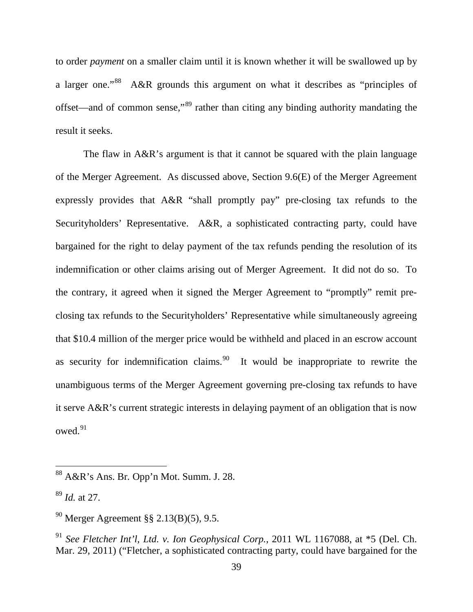to order *payment* on a smaller claim until it is known whether it will be swallowed up by a larger one."[88](#page-40-0) A&R grounds this argument on what it describes as "principles of offset—and of common sense,"[89](#page-40-1) rather than citing any binding authority mandating the result it seeks.

The flaw in A&R's argument is that it cannot be squared with the plain language of the Merger Agreement. As discussed above, Section 9.6(E) of the Merger Agreement expressly provides that A&R "shall promptly pay" pre-closing tax refunds to the Securityholders' Representative. A&R, a sophisticated contracting party, could have bargained for the right to delay payment of the tax refunds pending the resolution of its indemnification or other claims arising out of Merger Agreement. It did not do so. To the contrary, it agreed when it signed the Merger Agreement to "promptly" remit preclosing tax refunds to the Securityholders' Representative while simultaneously agreeing that \$10.4 million of the merger price would be withheld and placed in an escrow account as security for indemnification claims.<sup>[90](#page-40-2)</sup> It would be inappropriate to rewrite the unambiguous terms of the Merger Agreement governing pre-closing tax refunds to have it serve A&R's current strategic interests in delaying payment of an obligation that is now owed.[91](#page-40-3) 

<span id="page-40-0"></span><sup>88</sup> A&R's Ans. Br*.* Opp'n Mot. Summ. J. 28.

<span id="page-40-1"></span><sup>89</sup> *Id.* at 27.

<span id="page-40-2"></span><sup>90</sup> Merger Agreement §§ 2.13(B)(5), 9.5.

<span id="page-40-3"></span><sup>91</sup> *See Fletcher Int'l, Ltd. v. Ion Geophysical Corp.*, 2011 WL 1167088, at \*5 (Del. Ch. Mar. 29, 2011) ("Fletcher, a sophisticated contracting party, could have bargained for the